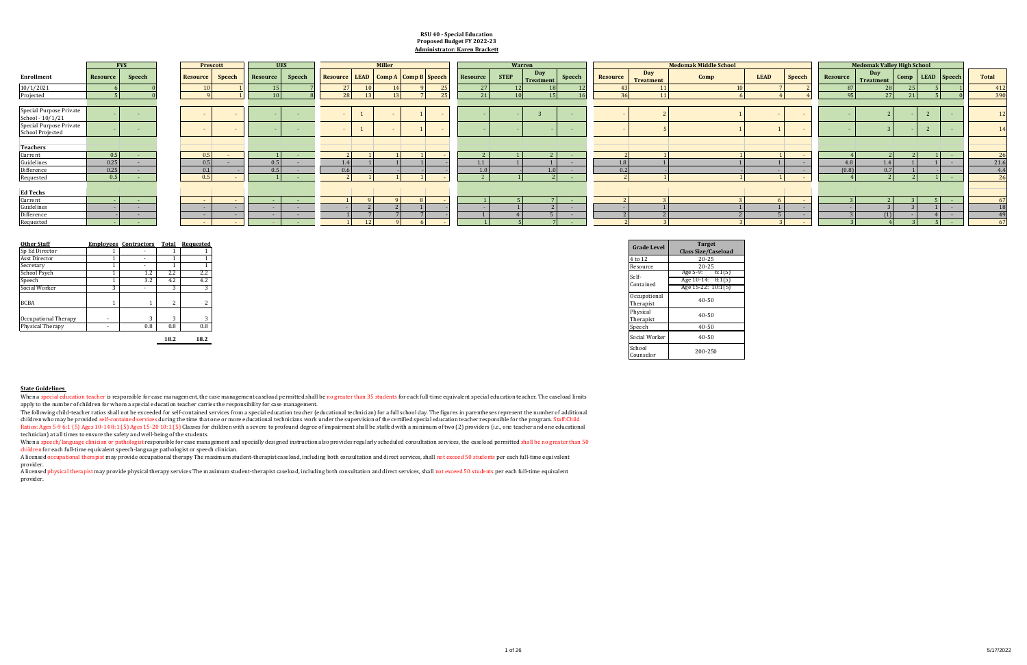|                         | <b>Medomak Valley High School</b> |                |                |                |              |
|-------------------------|-----------------------------------|----------------|----------------|----------------|--------------|
| <b>Resource</b>         | <b>Day</b><br><b>Treatment</b>    | Comp           | <b>LEAD</b>    | <b>Speech</b>  | <b>Total</b> |
| 87                      | 28                                | 25             | 5              | $\overline{1}$ |              |
| 95                      | 27                                | 21             | 5              | $\overline{0}$ |              |
|                         |                                   |                |                |                |              |
|                         | $\overline{2}$                    |                | $\overline{2}$ |                |              |
|                         | 3                                 |                | $\overline{2}$ |                |              |
|                         |                                   |                |                |                |              |
| $\overline{4}$          | $\overline{2}$                    | $\overline{2}$ | 1              | L,             |              |
| 4.8                     | 1.4                               | $\overline{1}$ | 1              | ٠              | 2            |
| (0.8)                   | 0.7                               | $\overline{1}$ |                |                |              |
| $\overline{4}$          | $\overline{2}$                    | $\overline{c}$ | $\overline{1}$ |                |              |
|                         |                                   |                |                |                |              |
| 3                       | $\overline{2}$                    | 3              | 5              |                |              |
| ۰                       | 3                                 | 3              | $\overline{1}$ |                |              |
| 3                       | (1)                               | ٠              | $\overline{4}$ | ۰              |              |
| $\overline{\mathbf{z}}$ | $\overline{4}$                    | $\overline{z}$ | $5 -$          | ۰              |              |

A licensed physical therapist may provide physical therapy services The maximum student-therapist caseload, including both consultation and direct services, shall not exceed 50 students per each full-time equivalent provider.

| <b>LEAD</b>               | Speech         |
|---------------------------|----------------|
| $\overline{7}$            | $\overline{c}$ |
| $\overline{4}$            | $\overline{4}$ |
|                           |                |
|                           |                |
| $\overline{1}$            |                |
|                           |                |
| $\mathbf{1}$              |                |
| $\overline{1}$            |                |
|                           |                |
| $\mathbf{1}$              |                |
|                           |                |
| $\overline{6}$            |                |
| $\frac{1}{5}$             |                |
|                           |                |
| $\overline{\overline{3}}$ |                |

A licensed occupational therapist may provide occupational therapy The maximum student-therapist caseload, including both consultation and direct services, shall not exceed 50 students per each full-time equivalent provider.

When a speech/language clinician or pathologist responsible for case management and specially designed instruction also provides regularly scheduled consultation services, the caseload permitted shall be no greater than 50 children for each full-time equivalent speech-language pathologist or speech clinician.

|                                            | <b>Employees Contractors</b> | <b>Total</b> | <b>Requested</b> |
|--------------------------------------------|------------------------------|--------------|------------------|
|                                            |                              |              |                  |
|                                            |                              |              |                  |
|                                            |                              |              |                  |
| $2.2\phantom{0}$<br>2.2<br>1.4             |                              |              |                  |
| 4.2<br>3.2<br>4.2                          |                              |              |                  |
|                                            |                              |              |                  |
|                                            |                              |              |                  |
|                                            |                              |              |                  |
|                                            |                              |              |                  |
|                                            |                              |              |                  |
| 0.8<br>0.8<br>$0.8\,$                      |                              |              |                  |
| $\overline{a}$<br>$\overline{\phantom{a}}$ |                              |              |                  |

When a special education teacher is responsible for case management, the case management caseload permitted shall be no greater than 35 students for each full-time equivalent special education teacher. The caseload limits apply to the number of children for whom a special education teacher carries the responsibility for case management.

The following child-teacher ratios shall not be exceeded for self-contained services from a special education teacher (educational technician) for a full school day. The figures in parentheses represent the number of addit children who may be provided self-contained services during the time that one or more educational technicians work under the supervision of the certified special education teacher responsible for the program. Staff:Child Ratios: Ages 5-9 6:1 (5) Ages 10-14 8:1 (5) Ages 15-20 10:1 (5) Classes for children with a severe to profound degree of impairment shall be staffed with a minimum of two (2) providers (i.e., one teacher and one educationa technician) at all times to ensure the safety and well-being of the students.

|                         |          | <b>FVS</b> |                  | <b>Prescott</b> |          | <b>UES</b> |     | <b>Miller</b> |                                                   |          |             | Warren           |        |          |                         | <b>Medomak Middle School</b> |             |        | <b>Medomak Valley High School</b> |                         |  |                          |       |
|-------------------------|----------|------------|------------------|-----------------|----------|------------|-----|---------------|---------------------------------------------------|----------|-------------|------------------|--------|----------|-------------------------|------------------------------|-------------|--------|-----------------------------------|-------------------------|--|--------------------------|-------|
| Enrollment              | Resource | Speech     | Resource         | Speech          | Resource | Speech     |     |               | <b>Resource   LEAD   Comp A   Comp B   Speech</b> | Resource | <b>STEP</b> | Day<br>Treatment | Speech | Resource | Day<br><b>Treatment</b> | Comp                         | <b>LEAD</b> | Speech | Resource                          | Day<br><b>Treatment</b> |  | Comp   LEAD   Speech     | Total |
| 10/1/2021               |          |            |                  |                 |          |            | 27  |               | $\Omega$                                          | 27       |             |                  |        |          |                         |                              |             |        |                                   |                         |  |                          | 412   |
| Projected               |          |            |                  |                 |          |            | ാവ  |               |                                                   | 21       |             |                  |        |          |                         |                              |             |        |                                   |                         |  |                          | 390   |
|                         |          |            |                  |                 |          |            |     |               |                                                   |          |             |                  |        |          |                         |                              |             |        |                                   |                         |  |                          |       |
| Special Purpose Private |          |            |                  |                 |          |            |     |               |                                                   |          |             |                  |        |          |                         |                              |             |        |                                   |                         |  |                          |       |
| School - 10/1/21        |          |            |                  |                 |          |            |     |               |                                                   |          |             |                  |        |          |                         |                              |             |        |                                   |                         |  |                          |       |
| Special Purpose Private |          |            |                  |                 |          | . .        |     |               |                                                   |          |             |                  |        |          |                         |                              |             |        |                                   |                         |  |                          |       |
| <b>School Projected</b> |          |            |                  |                 |          |            |     |               |                                                   |          |             |                  |        |          |                         |                              |             |        |                                   |                         |  |                          |       |
|                         |          |            |                  |                 |          |            |     |               |                                                   |          |             |                  |        |          |                         |                              |             |        |                                   |                         |  |                          |       |
| Teachers                |          |            |                  |                 |          |            |     |               |                                                   |          |             |                  |        |          |                         |                              |             |        |                                   |                         |  |                          |       |
| Current                 | 0.5      |            | 0.5 <sup>1</sup> |                 |          |            |     |               |                                                   |          |             |                  |        |          |                         |                              |             |        |                                   |                         |  | $\sim$                   | 26    |
| Guidelines              | 0.25     |            | 0.5              |                 | 0.5      | $\sim$     |     |               |                                                   |          |             |                  |        |          |                         |                              |             |        | 4.8                               |                         |  | <b>COLUMN</b>            | 21.6  |
| Difference              | 0.25     |            | 0.1              |                 | 0.5      |            | 061 |               |                                                   | 1.0      |             |                  |        | $\Omega$ |                         |                              |             |        | (0.8)                             | 0.7                     |  |                          | 4.4   |
| Requested               | 0.5      |            | 0.5 <sub>1</sub> |                 |          |            |     |               |                                                   |          |             |                  |        |          |                         |                              |             |        |                                   |                         |  |                          | 26    |
|                         |          |            |                  |                 |          |            |     |               |                                                   |          |             |                  |        |          |                         |                              |             |        |                                   |                         |  |                          |       |
| Ed Techs                |          |            |                  |                 |          |            |     |               |                                                   |          |             |                  |        |          |                         |                              |             |        |                                   |                         |  |                          |       |
| Current                 |          | $\sim$     |                  |                 |          | $\sim$     |     |               |                                                   |          |             |                  |        |          |                         |                              |             |        |                                   |                         |  | <b>Contract</b>          | 67    |
| Guidelines              |          | $\sim$ $-$ |                  | <b>COL</b>      |          | $\sim$     |     |               |                                                   |          |             |                  | $\sim$ |          |                         |                              |             |        |                                   |                         |  | $\sim$                   | 18    |
| Difference              |          | .          |                  |                 |          | $\sim$     |     |               |                                                   |          |             |                  |        |          |                         |                              |             |        |                                   |                         |  | $\overline{\phantom{a}}$ | 49    |
| Requested               |          | $\sim$     |                  |                 |          | $\sim$     |     |               |                                                   |          |             |                  |        |          |                         |                              |             |        |                                   |                         |  |                          | 67    |

#### **RSU 40 - Special Education Proposed Budget FY 2022-23 Administrator: Karen Brackett**

|            | <b>Total Requested</b> | <b>Grade Level</b>  | <b>Target</b>              |
|------------|------------------------|---------------------|----------------------------|
|            |                        |                     | <b>Class Size/Caseload</b> |
|            |                        | 4 to 12             | $20 - 25$                  |
|            |                        | Resource            | $20 - 25$                  |
| 2.2        |                        | Self-               | Age 5-9:                   |
| 4.2        |                        |                     | Age $10-14: 8:1(5)$        |
|            |                        | Contained           | Age $15-22: 10:1(5)$       |
|            |                        | Occupational        |                            |
|            |                        | Therapist           | $40 - 50$                  |
|            |                        | Physical            |                            |
| $\sqrt{2}$ |                        | Therapist           | $40 - 50$                  |
| 0.8        |                        | Speech              | $40 - 50$                  |
| 18.2       |                        | Social Worker       | $40 - 50$                  |
|            |                        | School<br>Counselor | 200-250                    |

#### **State Guidelines**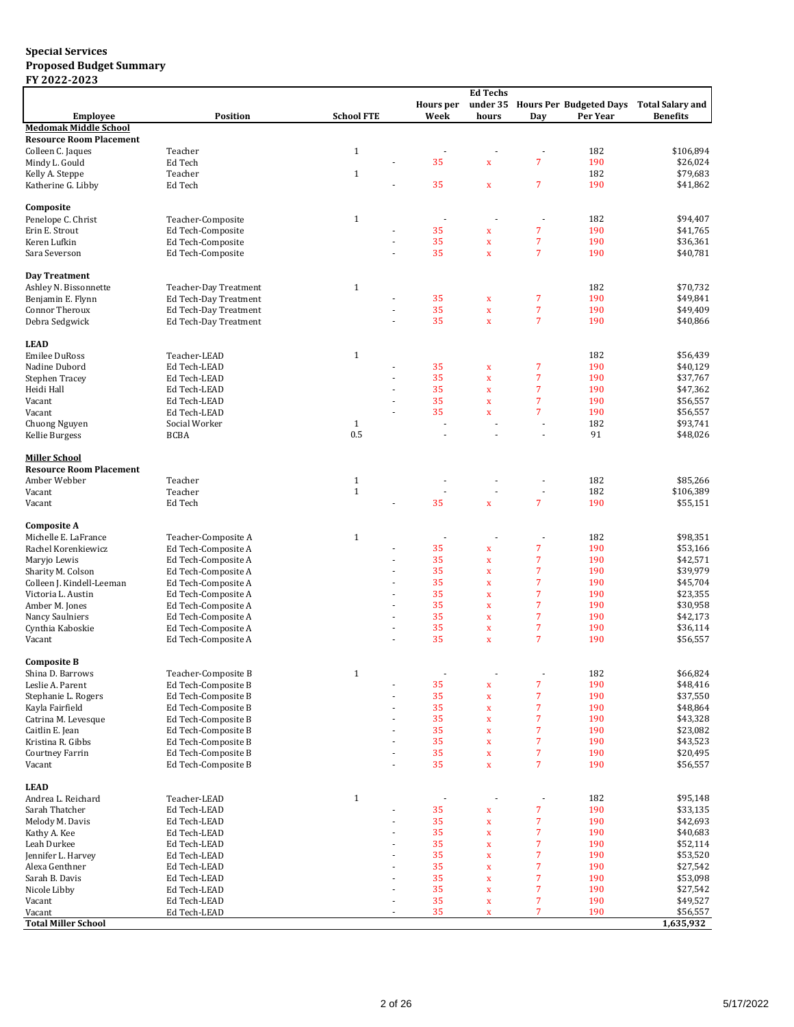|                                |                       |                   |                          |                  | <b>Ed Techs</b>            |                          |                                  |                         |
|--------------------------------|-----------------------|-------------------|--------------------------|------------------|----------------------------|--------------------------|----------------------------------|-------------------------|
|                                |                       |                   |                          | <b>Hours</b> per |                            |                          | under 35 Hours Per Budgeted Days | <b>Total Salary and</b> |
| <b>Employee</b>                | Position              | <b>School FTE</b> |                          | Week             | hours                      | Day                      | Per Year                         | <b>Benefits</b>         |
| <b>Medomak Middle School</b>   |                       |                   |                          |                  |                            |                          |                                  |                         |
| <b>Resource Room Placement</b> |                       |                   |                          |                  |                            |                          |                                  |                         |
| Colleen C. Jaques              | Teacher               | $\mathbf{1}$      |                          |                  |                            | $\overline{a}$           | 182                              | \$106,894               |
| Mindy L. Gould                 | Ed Tech               |                   |                          | 35               | $\mathbf x$                | $\overline{7}$           | 190                              | \$26,024                |
| Kelly A. Steppe                | Teacher               | $\mathbf{1}$      |                          |                  |                            |                          | 182                              | \$79,683                |
| Katherine G. Libby             | Ed Tech               |                   |                          | 35               | $\mathbf x$                | 7                        | 190                              | \$41,862                |
|                                |                       |                   |                          |                  |                            |                          |                                  |                         |
| Composite                      |                       |                   |                          |                  |                            |                          |                                  |                         |
| Penelope C. Christ             | Teacher-Composite     | $\mathbf{1}$      |                          |                  |                            | $\overline{a}$           | 182                              | \$94,407                |
| Erin E. Strout                 | Ed Tech-Composite     |                   |                          | 35               | x                          | $\overline{7}$           | 190                              | \$41,765                |
| Keren Lufkin                   | Ed Tech-Composite     |                   |                          | 35               | $\mathbf x$                | $\overline{7}$           | 190                              | \$36,361                |
| Sara Severson                  | Ed Tech-Composite     |                   | ÷,                       | 35               | $\mathbf x$                | $\overline{7}$           | 190                              | \$40,781                |
|                                |                       |                   |                          |                  |                            |                          |                                  |                         |
| Day Treatment                  |                       |                   |                          |                  |                            |                          |                                  |                         |
| Ashley N. Bissonnette          | Teacher-Day Treatment | $\mathbf{1}$      |                          |                  |                            |                          | 182                              | \$70,732                |
| Benjamin E. Flynn              | Ed Tech-Day Treatment |                   |                          | 35               | $\mathbf x$                | 7                        | 190                              | \$49,841                |
| Connor Theroux                 | Ed Tech-Day Treatment |                   |                          | 35               | $\mathbf x$                | 7                        | 190                              | \$49,409                |
| Debra Sedgwick                 | Ed Tech-Day Treatment |                   |                          | 35               | $\mathbf x$                | 7                        | 190                              | \$40,866                |
|                                |                       |                   |                          |                  |                            |                          |                                  |                         |
| <b>LEAD</b>                    |                       |                   |                          |                  |                            |                          |                                  |                         |
| <b>Emilee DuRoss</b>           | Teacher-LEAD          | $\mathbf{1}$      |                          |                  |                            |                          | 182                              | \$56,439                |
| Nadine Dubord                  | Ed Tech-LEAD          |                   |                          | 35               | $\mathbf x$                | 7                        | 190                              | \$40,129                |
| Stephen Tracey                 | Ed Tech-LEAD          |                   |                          | 35               | $\bar{\mathbf{x}}$         | $\overline{7}$           | 190                              | \$37,767                |
| Heidi Hall                     | Ed Tech-LEAD          |                   |                          | 35               | $\mathbf x$                | 7                        | 190                              | \$47,362                |
| Vacant                         | Ed Tech-LEAD          |                   | $\overline{\phantom{a}}$ | 35               | $\mathbf x$                | $\overline{7}$           | 190                              | \$56,557                |
| Vacant                         | Ed Tech-LEAD          |                   |                          | 35               | $\bar{\mathbf{x}}$         | 7                        | 190                              | \$56,557                |
| Chuong Nguyen                  | Social Worker         | $\mathbf{1}$      |                          |                  | ÷.                         | $\overline{\phantom{a}}$ | 182                              | \$93,741                |
| Kellie Burgess                 | BCBA                  | 0.5               |                          |                  |                            | ä,                       | 91                               | \$48,026                |
|                                |                       |                   |                          |                  |                            |                          |                                  |                         |
| <b>Miller School</b>           |                       |                   |                          |                  |                            |                          |                                  |                         |
| <b>Resource Room Placement</b> |                       |                   |                          |                  |                            |                          |                                  |                         |
| Amber Webber                   | Teacher               | $\mathbf{1}$      |                          |                  |                            | ÷                        | 182                              | \$85,266                |
| Vacant                         | Teacher               | $\mathbf{1}$      |                          |                  | $\sim$                     | $\overline{\phantom{a}}$ | 182                              | \$106,389               |
| Vacant                         | Ed Tech               |                   |                          | 35               | $\bar{\mathbf{x}}$         | $\overline{7}$           | 190                              | \$55,151                |
|                                |                       |                   |                          |                  |                            |                          |                                  |                         |
| <b>Composite A</b>             |                       |                   |                          |                  |                            |                          |                                  |                         |
| Michelle E. LaFrance           | Teacher-Composite A   | $1\,$             |                          |                  |                            |                          | 182                              | \$98,351                |
| Rachel Korenkiewicz            | Ed Tech-Composite A   |                   |                          | 35               | $\mathbf x$                | 7                        | 190                              | \$53,166                |
| Maryjo Lewis                   | Ed Tech-Composite A   |                   | ÷.                       | 35               | $\bar{\mathbf{x}}$         | $\overline{7}$           | 190                              | \$42,571                |
| Sharity M. Colson              | Ed Tech-Composite A   |                   | ٠                        | 35               | $\mathbf x$                | 7                        | 190                              | \$39,979                |
| Colleen J. Kindell-Leeman      | Ed Tech-Composite A   |                   | ٠                        | 35               | $\mathbf x$                | 7                        | 190                              | \$45,704                |
| Victoria L. Austin             |                       |                   | ä,                       | 35               |                            | 7                        | 190                              | \$23,355                |
| Amber M. Jones                 | Ed Tech-Composite A   |                   |                          | 35               | $\mathbf x$<br>$\mathbf x$ | 7                        | 190                              | \$30,958                |
|                                | Ed Tech-Composite A   |                   |                          | 35               |                            | 7                        | 190                              | \$42,173                |
| Nancy Saulniers                | Ed Tech-Composite A   |                   | ä,                       | 35               | $\mathbf x$                | 7                        | 190                              |                         |
| Cynthia Kaboskie               | Ed Tech-Composite A   |                   |                          | 35               | $\mathbf x$                | $\overline{7}$           | 190                              | \$36,114                |
| Vacant                         | Ed Tech-Composite A   |                   |                          |                  | $\mathbf x$                |                          |                                  | \$56,557                |
|                                |                       |                   |                          |                  |                            |                          |                                  |                         |
| <b>Composite B</b>             | Teacher-Composite B   |                   |                          |                  |                            |                          |                                  |                         |
| Shina D. Barrows               |                       | $1\,$             |                          |                  | ÷                          | ÷,                       | 182                              | \$66,824                |
| Leslie A. Parent               | Ed Tech-Composite B   |                   |                          | 35               | X                          | 7                        | 190                              | \$48,416                |
| Stephanie L. Rogers            | Ed Tech-Composite B   |                   |                          | 35               | x                          | 7                        | 190                              | \$37,550                |
| Kayla Fairfield                | Ed Tech-Composite B   |                   |                          | 35               | $\bar{\mathbf{x}}$         | 7                        | 190                              | \$48,864                |
| Catrina M. Levesque            | Ed Tech-Composite B   |                   | ٠                        | 35               | $\mathbf x$                | $\overline{7}$           | 190                              | \$43,328                |
| Caitlin E. Jean                | Ed Tech-Composite B   |                   |                          | 35               | $\mathbf x$                | $\overline{7}$           | 190                              | \$23,082                |
| Kristina R. Gibbs              | Ed Tech-Composite B   |                   | ÷,                       | 35               | $\mathbf x$                | $\overline{7}$           | 190                              | \$43,523                |
| Courtney Farrin                | Ed Tech-Composite B   |                   |                          | 35               | $\mathbf x$                | 7                        | 190                              | \$20,495                |
| Vacant                         | Ed Tech-Composite B   |                   | ÷,                       | 35               | $\bar{\mathbf{x}}$         | 7                        | 190                              | \$56,557                |
|                                |                       |                   |                          |                  |                            |                          |                                  |                         |
| <b>LEAD</b>                    |                       |                   |                          |                  |                            |                          |                                  |                         |
| Andrea L. Reichard             | Teacher-LEAD          | $\mathbf{1}$      |                          |                  |                            | $\overline{\phantom{a}}$ | 182                              | \$95,148                |
| Sarah Thatcher                 | Ed Tech-LEAD          |                   |                          | 35               | X                          | $\overline{7}$           | 190                              | \$33,135                |
| Melody M. Davis                | Ed Tech-LEAD          |                   |                          | 35               | $\mathbf x$                | $\overline{7}$           | 190                              | \$42,693                |
| Kathy A. Kee                   | Ed Tech-LEAD          |                   |                          | 35               | $\bar{\mathbf{x}}$         | 7                        | 190                              | \$40,683                |
| Leah Durkee                    | Ed Tech-LEAD          |                   | ٠                        | 35               | $\mathbf x$                | 7                        | 190                              | \$52,114                |
| Jennifer L. Harvey             | Ed Tech-LEAD          |                   |                          | 35               | $\mathbf x$                | $\overline{7}$           | 190                              | \$53,520                |
| Alexa Genthner                 | Ed Tech-LEAD          |                   | ٠                        | 35               | $\mathbf x$                | $\overline{7}$           | 190                              | \$27,542                |
| Sarah B. Davis                 | Ed Tech-LEAD          |                   |                          | 35               | $\mathbf x$                | $\overline{7}$           | 190                              | \$53,098                |
| Nicole Libby                   | Ed Tech-LEAD          |                   | ÷,                       | 35               | $\mathbf x$                | 7                        | 190                              | \$27,542                |
| Vacant                         | Ed Tech-LEAD          |                   |                          | 35               | $\bar{\mathbf{x}}$         | $\overline{7}$           | 190                              | \$49,527                |
| Vacant                         | Ed Tech-LEAD          |                   | $\frac{1}{2}$            | 35               | $\mathbf x$                | 7                        | 190                              | \$56,557                |
| <b>Total Miller School</b>     |                       |                   |                          |                  |                            |                          |                                  | 1,635,932               |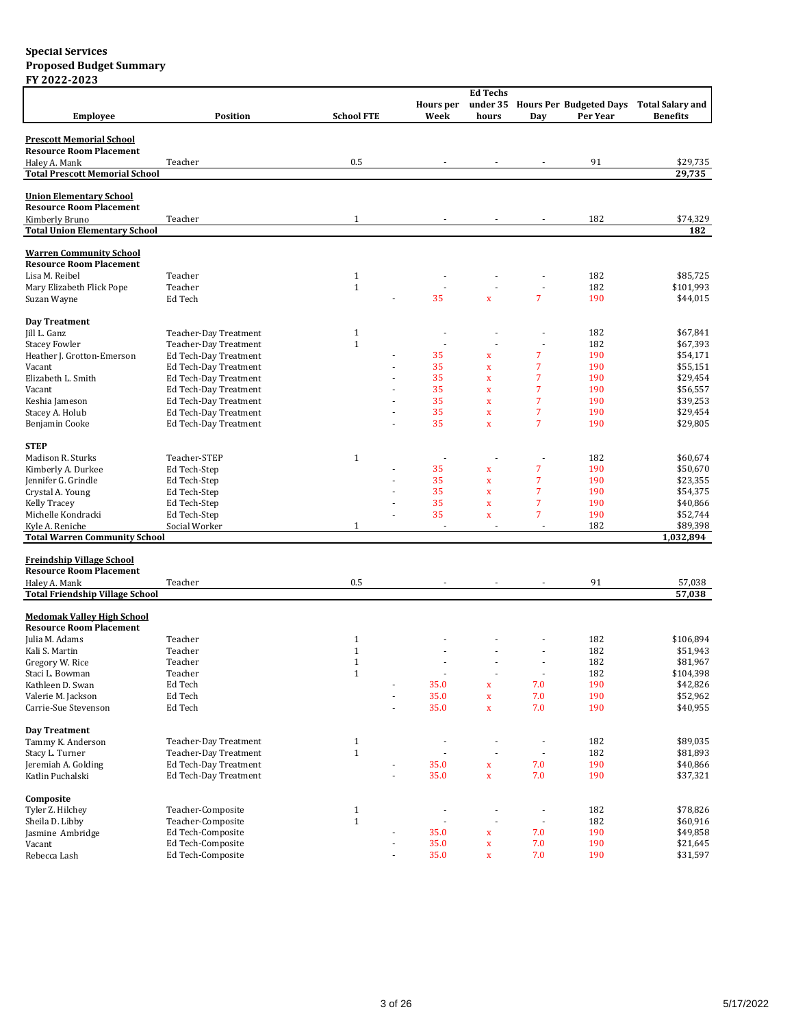|                                        |                       |                          |                          | <b>Ed Techs</b>          |                          |          |                                                   |
|----------------------------------------|-----------------------|--------------------------|--------------------------|--------------------------|--------------------------|----------|---------------------------------------------------|
|                                        |                       |                          | Hours per                |                          |                          |          | under 35 Hours Per Budgeted Days Total Salary and |
| <b>Employee</b>                        | <b>Position</b>       | <b>School FTE</b>        | Week                     | hours                    | Day                      | Per Year | <b>Benefits</b>                                   |
|                                        |                       |                          |                          |                          |                          |          |                                                   |
| <b>Prescott Memorial School</b>        |                       |                          |                          |                          |                          |          |                                                   |
| <b>Resource Room Placement</b>         |                       |                          |                          |                          |                          |          |                                                   |
| Haley A. Mank                          | Teacher               | 0.5                      |                          |                          |                          | 91       | \$29,735                                          |
| <b>Total Prescott Memorial School</b>  |                       |                          |                          |                          |                          |          | 29,735                                            |
|                                        |                       |                          |                          |                          |                          |          |                                                   |
| <b>Union Elementary School</b>         |                       |                          |                          |                          |                          |          |                                                   |
| <b>Resource Room Placement</b>         |                       |                          |                          |                          |                          |          |                                                   |
| Kimberly Bruno                         | Teacher               | $\mathbf{1}$             |                          |                          |                          | 182      | \$74,329                                          |
| <b>Total Union Elementary School</b>   |                       |                          |                          |                          |                          |          | 182                                               |
|                                        |                       |                          |                          |                          |                          |          |                                                   |
| <b>Warren Community School</b>         |                       |                          |                          |                          |                          |          |                                                   |
| <b>Resource Room Placement</b>         |                       |                          |                          |                          |                          |          |                                                   |
| Lisa M. Reibel                         | Teacher               | $\mathbf{1}$             |                          |                          |                          | 182      | \$85,725                                          |
| Mary Elizabeth Flick Pope              | Teacher               | $\mathbf{1}$             |                          |                          | ä,                       | 182      | \$101,993                                         |
| Suzan Wayne                            | Ed Tech               |                          | 35                       | $\mathbf x$              | $\overline{7}$           | 190      | \$44,015                                          |
|                                        |                       |                          |                          |                          |                          |          |                                                   |
| Day Treatment                          |                       |                          |                          |                          |                          |          |                                                   |
| Jill L. Ganz                           | Teacher-Day Treatment | $\mathbf{1}$             |                          |                          |                          | 182      | \$67,841                                          |
| <b>Stacey Fowler</b>                   | Teacher-Day Treatment | $\mathbf{1}$             | ÷,                       |                          | $\overline{\phantom{a}}$ | 182      | \$67,393                                          |
| Heather J. Grotton-Emerson             | Ed Tech-Day Treatment |                          | 35                       | X                        | 7                        | 190      | \$54,171                                          |
| Vacant                                 | Ed Tech-Day Treatment |                          | 35                       | $\mathbf x$              | 7                        | 190      | \$55,151                                          |
| Elizabeth L. Smith                     | Ed Tech-Day Treatment |                          | 35                       | $\mathbf x$              | 7                        | 190      | \$29,454                                          |
| Vacant                                 | Ed Tech-Day Treatment |                          | 35                       | $\mathbf x$              | $\overline{7}$           | 190      | \$56,557                                          |
| Keshia Jameson                         | Ed Tech-Day Treatment |                          | 35                       | $\mathbf x$              | 7                        | 190      | \$39,253                                          |
| Stacey A. Holub                        | Ed Tech-Day Treatment |                          | 35                       | $\mathbf x$              | 7                        | 190      | \$29,454                                          |
| Benjamin Cooke                         | Ed Tech-Day Treatment |                          | 35                       | $\bar{\mathbf{x}}$       | $\overline{7}$           | 190      | \$29,805                                          |
|                                        |                       |                          |                          |                          |                          |          |                                                   |
| <b>STEP</b>                            |                       |                          |                          |                          |                          |          |                                                   |
| Madison R. Sturks                      | Teacher-STEP          | $\mathbf{1}$             |                          |                          |                          | 182      | \$60,674                                          |
| Kimberly A. Durkee                     | Ed Tech-Step          |                          | 35                       | $\mathbf x$              | 7                        | 190      | \$50,670                                          |
| Jennifer G. Grindle                    | Ed Tech-Step          |                          | 35                       | $\mathbf x$              | 7                        | 190      | \$23,355                                          |
| Crystal A. Young                       | Ed Tech-Step          |                          | 35                       | $\mathbf x$              | 7                        | 190      | \$54,375                                          |
| Kelly Tracey                           | Ed Tech-Step          |                          | 35                       | $\mathbf x$              | 7                        | 190      | \$40,866                                          |
| Michelle Kondracki                     | Ed Tech-Step          |                          | 35                       | $\mathbf x$              | $\overline{7}$           | 190      | \$52,744                                          |
| Kyle A. Reniche                        | Social Worker         | $\mathbf{1}$             |                          | ×                        | ÷.                       | 182      | \$89,398                                          |
| <b>Total Warren Community School</b>   |                       |                          |                          |                          |                          |          | 1,032,894                                         |
|                                        |                       |                          |                          |                          |                          |          |                                                   |
| <b>Freindship Village School</b>       |                       |                          |                          |                          |                          |          |                                                   |
| <b>Resource Room Placement</b>         |                       |                          |                          |                          |                          |          |                                                   |
| Haley A. Mank                          | Teacher               | 0.5                      |                          |                          |                          | 91       | 57,038                                            |
| <b>Total Friendship Village School</b> |                       |                          |                          |                          |                          |          | 57,038                                            |
|                                        |                       |                          |                          |                          |                          |          |                                                   |
| <b>Medomak Valley High School</b>      |                       |                          |                          |                          |                          |          |                                                   |
| <b>Resource Room Placement</b>         |                       |                          |                          |                          |                          |          |                                                   |
| Julia M. Adams                         | Teacher               | $\mathbf{1}$             |                          |                          |                          | 182      | \$106,894                                         |
| Kali S. Martin                         | Teacher               | $\mathbf{1}$             |                          |                          |                          | 182      | \$51,943                                          |
| Gregory W. Rice                        | Teacher               | $\mathbf{1}$             |                          |                          |                          | 182      | \$81,967                                          |
| Staci L. Bowman                        | Teacher               | $\mathbf{1}$             | ÷,                       | $\overline{\phantom{a}}$ | ÷                        | 182      | \$104,398                                         |
|                                        | Ed Tech               |                          | 35.0                     |                          | 7.0                      | 190      | \$42,826                                          |
| Kathleen D. Swan                       |                       | $\overline{\phantom{a}}$ |                          | x                        |                          |          |                                                   |
| Valerie M. Jackson                     | Ed Tech               |                          | 35.0                     | $\mathbf x$              | 7.0                      | 190      | \$52,962                                          |
| Carrie-Sue Stevenson                   | Ed Tech               | ÷,                       | 35.0                     | $\mathbf x$              | 7.0                      | 190      | \$40,955                                          |
|                                        |                       |                          |                          |                          |                          |          |                                                   |
| Day Treatment                          |                       |                          |                          |                          |                          |          |                                                   |
| Tammy K. Anderson                      | Teacher-Day Treatment | $\mathbf{1}$             | $\overline{\phantom{a}}$ | ÷,                       | ÷                        | 182      | \$89,035                                          |
| Stacy L. Turner                        | Teacher-Day Treatment | $1\,$                    | ÷,                       |                          |                          | 182      | \$81,893                                          |
| Jeremiah A. Golding                    | Ed Tech-Day Treatment | $\frac{1}{2}$            | 35.0                     | $\mathbf x$              | 7.0                      | 190      | \$40,866                                          |
| Katlin Puchalski                       | Ed Tech-Day Treatment | $\blacksquare$           | 35.0                     | $\bar{\mathbf{X}}$       | 7.0                      | 190      | \$37,321                                          |
|                                        |                       |                          |                          |                          |                          |          |                                                   |
| Composite                              |                       |                          |                          |                          |                          |          |                                                   |
| Tyler Z. Hilchey                       | Teacher-Composite     | $\mathbf{1}$             |                          |                          |                          | 182      | \$78,826                                          |
| Sheila D. Libby                        | Teacher-Composite     | $\mathbf 1$              | ÷,                       | $\overline{\phantom{a}}$ | ÷,                       | 182      | \$60,916                                          |
| Jasmine Ambridge                       | Ed Tech-Composite     | ÷,                       | 35.0                     | x                        | 7.0                      | 190      | \$49,858                                          |
| Vacant                                 | Ed Tech-Composite     | $\overline{\phantom{a}}$ | 35.0                     | $\mathbf x$              | 7.0                      | 190      | \$21,645                                          |
| Rebecca Lash                           | Ed Tech-Composite     | $\blacksquare$           | 35.0                     | $\bar{\mathbf{X}}$       | 7.0                      | 190      | \$31,597                                          |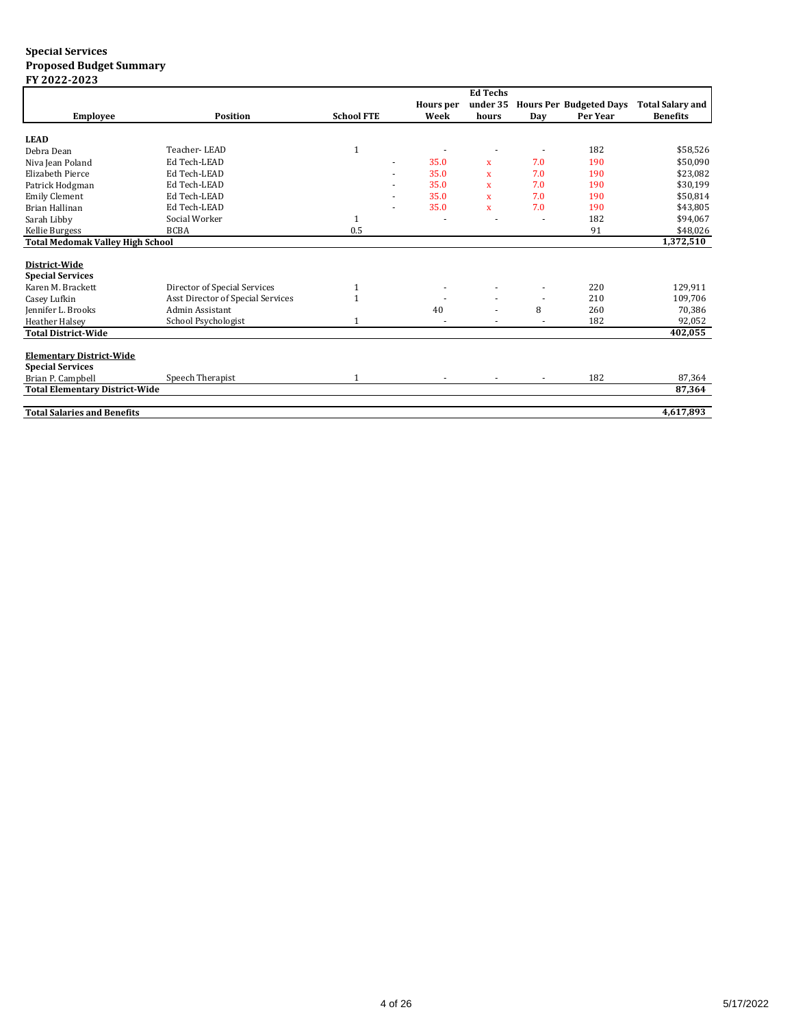|                                         |                                   |                   |                  | <b>Ed Techs</b> |        |                                |                         |
|-----------------------------------------|-----------------------------------|-------------------|------------------|-----------------|--------|--------------------------------|-------------------------|
|                                         |                                   |                   | <b>Hours</b> per | under 35        |        | <b>Hours Per Budgeted Days</b> | <b>Total Salary and</b> |
| <b>Employee</b>                         | <b>Position</b>                   | <b>School FTE</b> | Week             | hours           | Day    | Per Year                       | <b>Benefits</b>         |
|                                         |                                   |                   |                  |                 |        |                                |                         |
| <b>LEAD</b>                             |                                   |                   |                  |                 |        |                                |                         |
| Debra Dean                              | Teacher-LEAD                      |                   |                  |                 |        | 182                            | \$58,526                |
| Niva Jean Poland                        | Ed Tech-LEAD                      |                   | 35.0             | $\mathbf{x}$    | 7.0    | 190                            | \$50,090                |
| Elizabeth Pierce                        | Ed Tech-LEAD                      |                   | 35.0             | $\mathbf{x}$    | 7.0    | 190                            | \$23,082                |
| Patrick Hodgman                         | Ed Tech-LEAD                      |                   | 35.0             | $\mathbf{x}$    | 7.0    | 190                            | \$30,199                |
| <b>Emily Clement</b>                    | Ed Tech-LEAD                      |                   | 35.0             | x               | 7.0    | 190                            | \$50,814                |
| <b>Brian Hallinan</b>                   | Ed Tech-LEAD                      |                   | 35.0             | $\mathbf x$     | 7.0    | 190                            | \$43,805                |
| Sarah Libby                             | Social Worker                     |                   |                  |                 |        | 182                            | \$94,067                |
| Kellie Burgess                          | <b>BCBA</b>                       | 0.5               |                  |                 |        | 91                             | \$48,026                |
| <b>Total Medomak Valley High School</b> |                                   |                   |                  |                 |        |                                | 1,372,510               |
|                                         |                                   |                   |                  |                 |        |                                |                         |
| District-Wide                           |                                   |                   |                  |                 |        |                                |                         |
| <b>Special Services</b>                 |                                   |                   |                  |                 |        |                                |                         |
| Karen M. Brackett                       | Director of Special Services      | 1                 |                  |                 |        | 220                            | 129,911                 |
| Casey Lufkin                            | Asst Director of Special Services |                   |                  |                 | $\sim$ | 210                            | 109,706                 |
| Jennifer L. Brooks                      | Admin Assistant                   |                   | 40               |                 | 8      | 260                            | 70,386                  |
| <b>Heather Halsey</b>                   | School Psychologist               |                   |                  |                 | ٠      | 182                            | 92,052                  |
| <b>Total District-Wide</b>              |                                   |                   |                  |                 |        |                                | 402,055                 |
|                                         |                                   |                   |                  |                 |        |                                |                         |
| <b>Elementary District-Wide</b>         |                                   |                   |                  |                 |        |                                |                         |
| <b>Special Services</b>                 |                                   |                   |                  |                 |        |                                |                         |
| Brian P. Campbell                       | Speech Therapist                  |                   |                  |                 |        | 182                            | 87,364                  |
| <b>Total Elementary District-Wide</b>   |                                   |                   |                  |                 |        |                                | 87,364                  |
|                                         |                                   |                   |                  |                 |        |                                |                         |
| <b>Total Salaries and Benefits</b>      |                                   |                   |                  |                 |        |                                | 4,617,893               |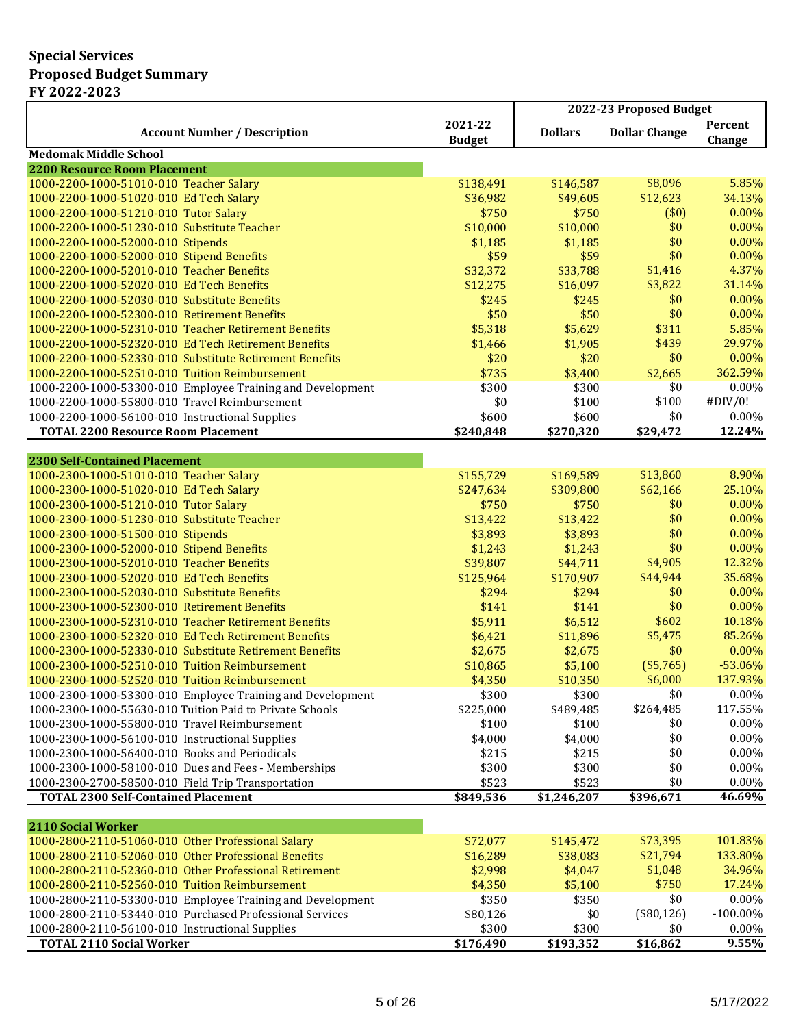|                                                                                                              |                          | 2022-23 Proposed Budget |                      |                   |  |
|--------------------------------------------------------------------------------------------------------------|--------------------------|-------------------------|----------------------|-------------------|--|
| <b>Account Number / Description</b>                                                                          | 2021-22<br><b>Budget</b> | <b>Dollars</b>          | <b>Dollar Change</b> | Percent<br>Change |  |
| <b>Medomak Middle School</b>                                                                                 |                          |                         |                      |                   |  |
| <b>2200 Resource Room Placement</b>                                                                          |                          |                         |                      |                   |  |
| 1000-2200-1000-51010-010 Teacher Salary                                                                      | \$138,491                | \$146,587               | \$8,096              | 5.85%             |  |
| 1000-2200-1000-51020-010 Ed Tech Salary                                                                      | \$36,982                 | \$49,605                | \$12,623             | 34.13%            |  |
| 1000-2200-1000-51210-010 Tutor Salary                                                                        | \$750                    | \$750                   | (\$0)                | 0.00%             |  |
| 1000-2200-1000-51230-010 Substitute Teacher                                                                  | \$10,000                 | \$10,000                | \$0                  | 0.00%             |  |
| 1000-2200-1000-52000-010 Stipends                                                                            | \$1,185                  | \$1,185                 | \$0                  | 0.00%             |  |
| 1000-2200-1000-52000-010 Stipend Benefits                                                                    | \$59                     | \$59                    | \$0                  | 0.00%             |  |
| 1000-2200-1000-52010-010 Teacher Benefits                                                                    | \$32,372                 | \$33,788                | \$1,416              | 4.37%             |  |
| 1000-2200-1000-52020-010 Ed Tech Benefits                                                                    | \$12,275                 | \$16,097                | \$3,822              | 31.14%            |  |
| 1000-2200-1000-52030-010 Substitute Benefits                                                                 | \$245                    | \$245                   | \$0<br>\$0           | 0.00%<br>0.00%    |  |
| 1000-2200-1000-52300-010 Retirement Benefits                                                                 | \$50                     | \$50                    | \$311                | 5.85%             |  |
| 1000-2200-1000-52310-010 Teacher Retirement Benefits<br>1000-2200-1000-52320-010 Ed Tech Retirement Benefits | \$5,318                  | \$5,629                 | \$439                | 29.97%            |  |
| 1000-2200-1000-52330-010 Substitute Retirement Benefits                                                      | \$1,466<br>\$20          | \$1,905<br>\$20         | \$0                  | 0.00%             |  |
| 1000-2200-1000-52510-010 Tuition Reimbursement                                                               | \$735                    | \$3,400                 | \$2,665              | 362.59%           |  |
| 1000-2200-1000-53300-010 Employee Training and Development                                                   | \$300                    | \$300                   | \$0                  | 0.00%             |  |
| 1000-2200-1000-55800-010 Travel Reimbursement                                                                | \$0                      | \$100                   | \$100                | #DIV/0!           |  |
| 1000-2200-1000-56100-010 Instructional Supplies                                                              | \$600                    | \$600                   | \$0                  | 0.00%             |  |
| <b>TOTAL 2200 Resource Room Placement</b>                                                                    | \$240,848                | \$270,320               | \$29,472             | 12.24%            |  |
|                                                                                                              |                          |                         |                      |                   |  |
| <b>2300 Self-Contained Placement</b>                                                                         |                          |                         |                      |                   |  |
| 1000-2300-1000-51010-010 Teacher Salary                                                                      | \$155,729                | \$169,589               | \$13,860             | 8.90%             |  |
| 1000-2300-1000-51020-010 Ed Tech Salary                                                                      | \$247,634                | \$309,800               | \$62,166             | 25.10%            |  |
| 1000-2300-1000-51210-010 Tutor Salary                                                                        | \$750                    | \$750                   | \$0                  | 0.00%             |  |
| 1000-2300-1000-51230-010 Substitute Teacher                                                                  | \$13,422                 | \$13,422                | \$0                  | 0.00%             |  |
| 1000-2300-1000-51500-010 Stipends                                                                            | \$3,893                  | \$3,893                 | \$0                  | 0.00%             |  |
| 1000-2300-1000-52000-010 Stipend Benefits                                                                    | \$1,243                  | \$1,243                 | \$0                  | 0.00%             |  |
| 1000-2300-1000-52010-010 Teacher Benefits                                                                    | \$39,807                 | \$44,711                | \$4,905              | 12.32%            |  |
| 1000-2300-1000-52020-010 Ed Tech Benefits                                                                    | \$125,964                | \$170,907               | \$44,944             | 35.68%            |  |
| 1000-2300-1000-52030-010 Substitute Benefits                                                                 | \$294                    | \$294                   | \$0                  | 0.00%             |  |
| 1000-2300-1000-52300-010 Retirement Benefits                                                                 | \$141                    | \$141                   | \$0                  | 0.00%             |  |
| 1000-2300-1000-52310-010 Teacher Retirement Benefits                                                         | \$5,911                  | \$6,512                 | \$602                | 10.18%            |  |
| 1000-2300-1000-52320-010 Ed Tech Retirement Benefits                                                         | \$6,421                  | \$11,896                | \$5,475              | 85.26%            |  |
| 1000-2300-1000-52330-010 Substitute Retirement Benefits                                                      | \$2,675                  | \$2,675                 | \$0                  | $0.00\%$          |  |
| 1000-2300-1000-52510-010 Tuition Reimbursement                                                               | \$10,865                 | \$5,100                 | (\$5,765)            | $-53.06%$         |  |
| 1000-2300-1000-52520-010 Tuition Reimbursement                                                               | \$4,350                  | \$10,350                | \$6,000              | 137.93%           |  |
| 1000-2300-1000-53300-010 Employee Training and Development                                                   | \$300                    | \$300                   | \$0                  | 0.00%             |  |
| 1000-2300-1000-55630-010 Tuition Paid to Private Schools                                                     | \$225,000                | \$489,485               | \$264,485            | 117.55%           |  |
| 1000-2300-1000-55800-010 Travel Reimbursement                                                                | \$100                    | \$100                   | \$0                  | 0.00%             |  |
| 1000-2300-1000-56100-010 Instructional Supplies                                                              | \$4,000                  | \$4,000                 | \$0                  | $0.00\%$          |  |
| 1000-2300-1000-56400-010 Books and Periodicals                                                               | \$215                    | \$215                   | \$0                  | $0.00\%$          |  |
| 1000-2300-1000-58100-010 Dues and Fees - Memberships                                                         | \$300                    | \$300                   | \$0                  | $0.00\%$          |  |
| 1000-2300-2700-58500-010 Field Trip Transportation                                                           | \$523                    | \$523                   | \$0                  | 0.00%             |  |
| <b>TOTAL 2300 Self-Contained Placement</b>                                                                   | \$849,536                | \$1,246,207             | \$396,671            | 46.69%            |  |
|                                                                                                              |                          |                         |                      |                   |  |
| 2110 Social Worker                                                                                           |                          |                         |                      |                   |  |
| 1000-2800-2110-51060-010 Other Professional Salary                                                           | \$72,077                 | \$145,472               | \$73,395             | 101.83%           |  |
| 1000-2800-2110-52060-010 Other Professional Benefits                                                         | \$16,289                 | \$38,083                | \$21,794             | 133.80%           |  |
| 1000-2800-2110-52360-010 Other Professional Retirement                                                       | \$2,998                  | \$4,047                 | \$1,048              | 34.96%            |  |
| 1000-2800-2110-52560-010 Tuition Reimbursement                                                               | \$4,350                  | \$5,100                 | \$750                | 17.24%            |  |
| 1000-2800-2110-53300-010 Employee Training and Development                                                   | \$350                    | \$350                   | \$0                  | $0.00\%$          |  |
| 1000-2800-2110-53440-010 Purchased Professional Services                                                     | \$80,126                 | \$0                     | (\$80,126)           | $-100.00\%$       |  |
| 1000-2800-2110-56100-010 Instructional Supplies                                                              | \$300                    | \$300                   | \$0                  | 0.00%<br>9.55%    |  |
| <b>TOTAL 2110 Social Worker</b>                                                                              | \$176,490                | \$193,352               | \$16,862             |                   |  |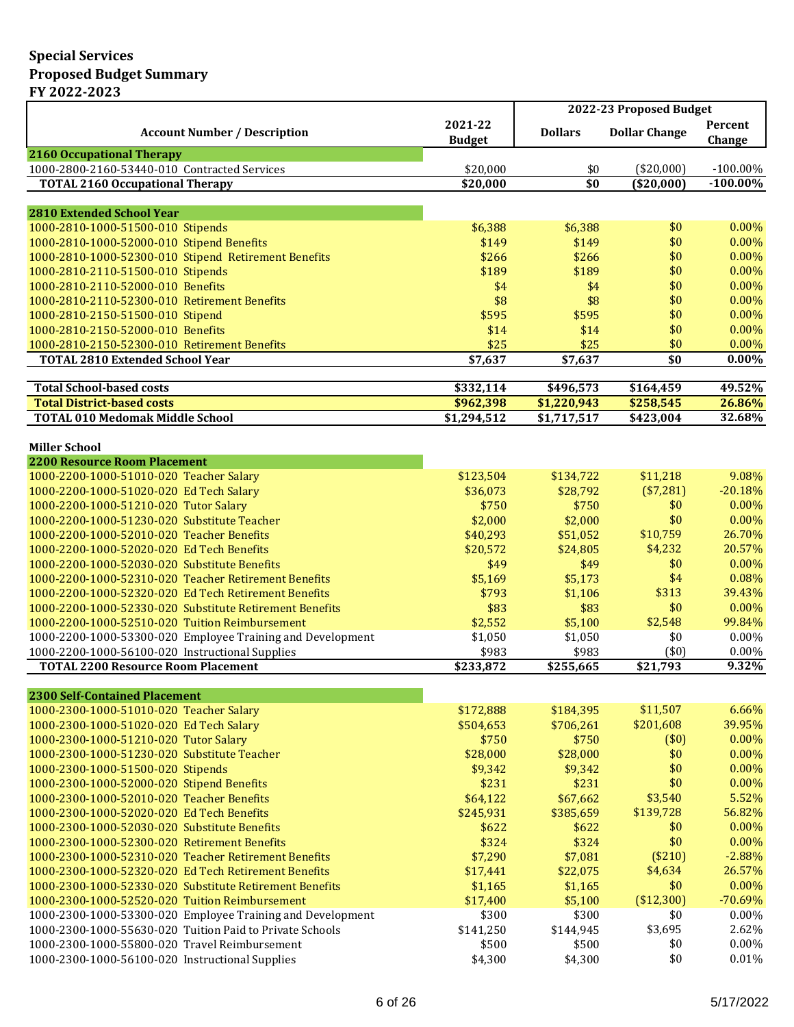|                                                                                                   |                          | 2022-23 Proposed Budget |                      |                   |  |
|---------------------------------------------------------------------------------------------------|--------------------------|-------------------------|----------------------|-------------------|--|
| <b>Account Number / Description</b>                                                               | 2021-22<br><b>Budget</b> | <b>Dollars</b>          | <b>Dollar Change</b> | Percent<br>Change |  |
| <b>2160 Occupational Therapy</b>                                                                  |                          |                         |                      |                   |  |
| 1000-2800-2160-53440-010 Contracted Services                                                      | \$20,000                 | \$0                     | (\$20,000)           | $-100.00\%$       |  |
| <b>TOTAL 2160 Occupational Therapy</b>                                                            | \$20,000                 | \$0                     | ( \$20,000]          | $-100.00\%$       |  |
|                                                                                                   |                          |                         |                      |                   |  |
| <b>2810 Extended School Year</b>                                                                  |                          |                         |                      |                   |  |
| 1000-2810-1000-51500-010 Stipends                                                                 | \$6,388                  | \$6,388                 | \$0                  | 0.00%             |  |
| 1000-2810-1000-52000-010 Stipend Benefits<br>1000-2810-1000-52300-010 Stipend Retirement Benefits | \$149<br>\$266           | \$149<br>\$266          | \$0<br>\$0           | 0.00%<br>0.00%    |  |
| 1000-2810-2110-51500-010 Stipends                                                                 | \$189                    | \$189                   | \$0                  | 0.00%             |  |
| 1000-2810-2110-52000-010 Benefits                                                                 | \$4                      | \$4                     | \$0                  | 0.00%             |  |
| 1000-2810-2110-52300-010 Retirement Benefits                                                      | \$8                      | \$8                     | \$0                  | 0.00%             |  |
| 1000-2810-2150-51500-010 Stipend                                                                  | \$595                    | \$595                   | \$0                  | 0.00%             |  |
| 1000-2810-2150-52000-010 Benefits                                                                 | \$14                     | \$14                    | \$0                  | 0.00%             |  |
| 1000-2810-2150-52300-010 Retirement Benefits                                                      | \$25                     | \$25                    | \$0                  | 0.00%             |  |
| <b>TOTAL 2810 Extended School Year</b>                                                            | \$7,637                  | \$7,637                 | $\overline{\$0}$     | 0.00%             |  |
|                                                                                                   |                          |                         |                      |                   |  |
| <b>Total School-based costs</b>                                                                   | \$332,114                | \$496,573               | \$164,459            | 49.52%            |  |
| <b>Total District-based costs</b>                                                                 | \$962,398                | \$1,220,943             | \$258,545            | 26.86%            |  |
| <b>TOTAL 010 Medomak Middle School</b>                                                            | \$1,294,512              | \$1,717,517             | \$423,004            | 32.68%            |  |
|                                                                                                   |                          |                         |                      |                   |  |
| <b>Miller School</b>                                                                              |                          |                         |                      |                   |  |
| <b>2200 Resource Room Placement</b>                                                               |                          |                         |                      |                   |  |
| 1000-2200-1000-51010-020 Teacher Salary                                                           | \$123,504                | \$134,722               | \$11,218             | 9.08%             |  |
| 1000-2200-1000-51020-020 Ed Tech Salary                                                           | \$36,073                 | \$28,792                | (\$7,281)            | $-20.18%$         |  |
| 1000-2200-1000-51210-020 Tutor Salary                                                             | \$750                    | \$750                   | \$0                  | 0.00%             |  |
| 1000-2200-1000-51230-020 Substitute Teacher                                                       | \$2,000                  | \$2,000                 | \$0                  | 0.00%             |  |
| 1000-2200-1000-52010-020 Teacher Benefits                                                         | \$40,293                 | \$51,052                | \$10,759             | 26.70%            |  |
| 1000-2200-1000-52020-020 Ed Tech Benefits                                                         | \$20,572                 | \$24,805                | \$4,232              | 20.57%            |  |
| 1000-2200-1000-52030-020 Substitute Benefits                                                      | \$49                     | \$49                    | \$0                  | 0.00%             |  |
| 1000-2200-1000-52310-020 Teacher Retirement Benefits                                              | \$5,169                  | \$5,173                 | \$4                  | 0.08%             |  |
| 1000-2200-1000-52320-020 Ed Tech Retirement Benefits                                              | \$793                    | \$1,106                 | \$313                | 39.43%            |  |
| 1000-2200-1000-52330-020 Substitute Retirement Benefits                                           | \$83                     | \$83                    | \$0                  | 0.00%             |  |
| 1000-2200-1000-52510-020 Tuition Reimbursement                                                    | \$2,552                  | \$5,100                 | \$2,548              | 99.84%            |  |
| 1000-2200-1000-53300-020 Employee Training and Development                                        | \$1,050                  | \$1,050                 | \$0                  | 0.00%             |  |
| 1000-2200-1000-56100-020 Instructional Supplies                                                   | \$983                    | \$983                   | (50)                 | 0.00%             |  |
| <b>TOTAL 2200 Resource Room Placement</b>                                                         | \$233,872                | \$255,665               | \$21,793             | 9.32%             |  |
| <b>2300 Self-Contained Placement</b>                                                              |                          |                         |                      |                   |  |
| 1000-2300-1000-51010-020 Teacher Salary                                                           | \$172,888                | \$184,395               | \$11,507             | 6.66%             |  |
| 1000-2300-1000-51020-020 Ed Tech Salary                                                           | \$504,653                | \$706,261               | \$201,608            | 39.95%            |  |
| 1000-2300-1000-51210-020 Tutor Salary                                                             | \$750                    | \$750                   | (\$0)                | 0.00%             |  |
| 1000-2300-1000-51230-020 Substitute Teacher                                                       | \$28,000                 | \$28,000                | \$0                  | 0.00%             |  |
| 1000-2300-1000-51500-020 Stipends                                                                 | \$9,342                  | \$9,342                 | \$0                  | 0.00%             |  |
| 1000-2300-1000-52000-020 Stipend Benefits                                                         | \$231                    | \$231                   | \$0                  | 0.00%             |  |
| 1000-2300-1000-52010-020 Teacher Benefits                                                         | \$64,122                 | \$67,662                | \$3,540              | 5.52%             |  |
| 1000-2300-1000-52020-020 Ed Tech Benefits                                                         | \$245,931                | \$385,659               | \$139,728            | 56.82%            |  |
| 1000-2300-1000-52030-020 Substitute Benefits                                                      | \$622                    | \$622                   | \$0                  | 0.00%             |  |
| 1000-2300-1000-52300-020 Retirement Benefits                                                      | \$324                    | \$324                   | \$0                  | 0.00%             |  |
| 1000-2300-1000-52310-020 Teacher Retirement Benefits                                              | \$7,290                  | \$7,081                 | (\$210)              | $-2.88%$          |  |
| 1000-2300-1000-52320-020 Ed Tech Retirement Benefits                                              | \$17,441                 | \$22,075                | \$4,634              | 26.57%            |  |
| 1000-2300-1000-52330-020 Substitute Retirement Benefits                                           | \$1,165                  | \$1,165                 | \$0                  | 0.00%             |  |
| 1000-2300-1000-52520-020 Tuition Reimbursement                                                    | \$17,400                 | \$5,100                 | (\$12,300)           | $-70.69%$         |  |
| 1000-2300-1000-53300-020 Employee Training and Development                                        | \$300                    | \$300                   | \$0                  | $0.00\%$          |  |
| 1000-2300-1000-55630-020 Tuition Paid to Private Schools                                          | \$141,250                | \$144,945               | \$3,695              | 2.62%             |  |
| 1000-2300-1000-55800-020 Travel Reimbursement                                                     | \$500                    | \$500                   | \$0                  | $0.00\%$          |  |
| 1000-2300-1000-56100-020 Instructional Supplies                                                   | \$4,300                  | \$4,300                 | \$0                  | 0.01%             |  |
|                                                                                                   |                          |                         |                      |                   |  |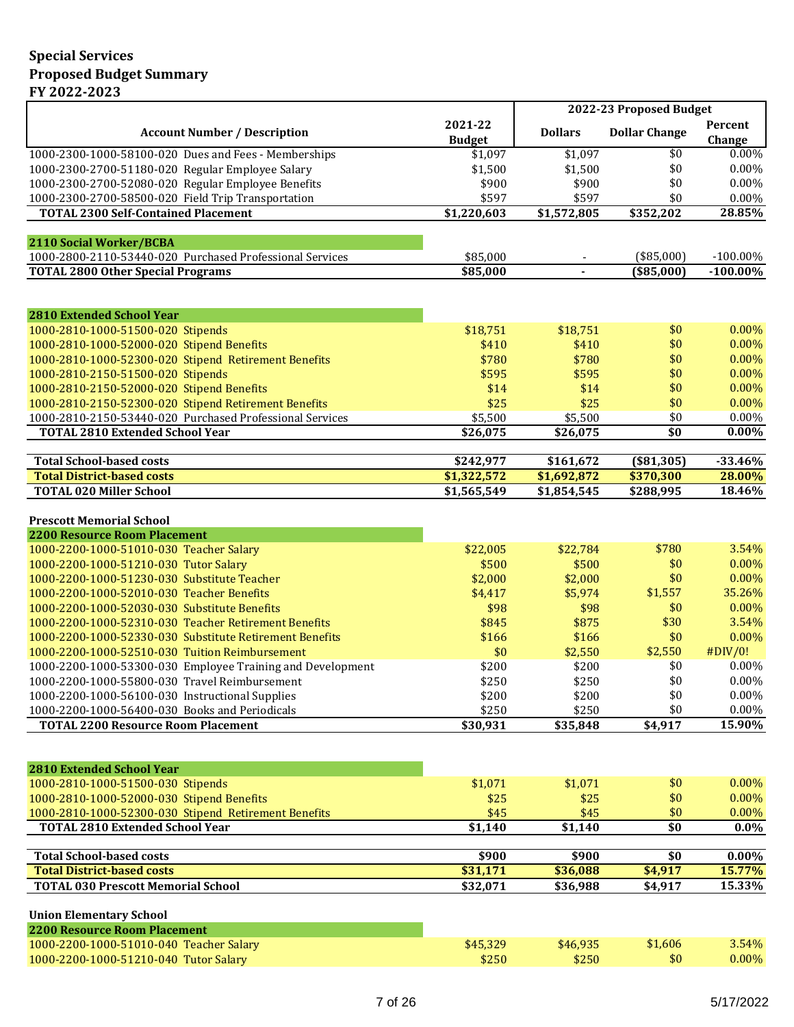|                                                                                                      |                              |                                            | 2022-23 Proposed Budget    |                            |
|------------------------------------------------------------------------------------------------------|------------------------------|--------------------------------------------|----------------------------|----------------------------|
| <b>Account Number / Description</b>                                                                  | 2021-22<br><b>Budget</b>     | <b>Dollars</b>                             | <b>Dollar Change</b>       | Percent<br>Change          |
| 1000-2300-1000-58100-020 Dues and Fees - Memberships                                                 | \$1,097                      | \$1,097                                    | \$0                        | $0.00\%$                   |
| 1000-2300-2700-51180-020 Regular Employee Salary                                                     | \$1,500                      | \$1,500                                    | \$0                        | 0.00%                      |
| 1000-2300-2700-52080-020 Regular Employee Benefits                                                   | \$900                        | \$900                                      | \$0                        | 0.00%                      |
| 1000-2300-2700-58500-020 Field Trip Transportation                                                   | \$597                        | \$597                                      | \$0                        | $0.00\%$                   |
| <b>TOTAL 2300 Self-Contained Placement</b>                                                           | \$1,220,603                  | \$1,572,805                                | \$352,202                  | 28.85%                     |
|                                                                                                      |                              |                                            |                            |                            |
| 2110 Social Worker/BCBA                                                                              |                              |                                            |                            |                            |
| 1000-2800-2110-53440-020 Purchased Professional Services<br><b>TOTAL 2800 Other Special Programs</b> | \$85,000<br>\$85,000         | $\overline{\phantom{a}}$<br>$\blacksquare$ | $(*85,000)$<br>( \$85,000] | $-100.00\%$<br>$-100.00\%$ |
|                                                                                                      |                              |                                            |                            |                            |
| <b>2810 Extended School Year</b>                                                                     |                              |                                            |                            |                            |
| 1000-2810-1000-51500-020 Stipends                                                                    | \$18,751                     | \$18,751                                   | \$0                        | 0.00%                      |
| 1000-2810-1000-52000-020 Stipend Benefits                                                            | \$410                        | \$410                                      | \$0                        | 0.00%                      |
| 1000-2810-1000-52300-020 Stipend Retirement Benefits                                                 | \$780                        | \$780                                      | \$0                        | 0.00%                      |
| 1000-2810-2150-51500-020 Stipends                                                                    | \$595                        | \$595                                      | \$0                        | 0.00%                      |
| 1000-2810-2150-52000-020 Stipend Benefits                                                            | \$14                         | \$14                                       | \$0                        | 0.00%                      |
| 1000-2810-2150-52300-020 Stipend Retirement Benefits                                                 | \$25                         | \$25                                       | \$0                        | 0.00%                      |
| 1000-2810-2150-53440-020 Purchased Professional Services                                             | \$5,500                      | \$5,500                                    | \$0                        | 0.00%                      |
| <b>TOTAL 2810 Extended School Year</b>                                                               | \$26,075                     | \$26,075                                   | \$0                        | $0.00\%$                   |
| <b>Total School-based costs</b>                                                                      | \$242,977                    | \$161,672                                  | ( \$81, 305)               | $-33.46%$                  |
| <b>Total District-based costs</b>                                                                    | \$1,322,572                  | \$1,692,872                                | \$370,300                  | 28.00%                     |
| <b>TOTAL 020 Miller School</b>                                                                       | \$1,565,549                  | \$1,854,545                                | \$288,995                  | 18.46%                     |
| <b>Prescott Memorial School</b>                                                                      |                              |                                            |                            |                            |
| <b>2200 Resource Room Placement</b>                                                                  |                              |                                            |                            |                            |
| 1000-2200-1000-51010-030 Teacher Salary                                                              | \$22,005                     | \$22,784                                   | \$780                      | 3.54%                      |
| 1000-2200-1000-51210-030 Tutor Salary                                                                | \$500                        | \$500                                      | \$0                        | 0.00%                      |
| 1000-2200-1000-51230-030 Substitute Teacher                                                          | \$2,000                      | \$2,000                                    | \$0                        | 0.00%                      |
| 1000-2200-1000-52010-030 Teacher Benefits                                                            | \$4,417                      | \$5,974                                    | \$1,557                    | 35.26%                     |
| 1000-2200-1000-52030-030 Substitute Benefits                                                         | \$98                         | \$98                                       | \$0                        | $0.00\%$                   |
| 1000-2200-1000-52310-030 Teacher Retirement Benefits                                                 | \$845                        | \$875                                      | \$30                       | 3.54%                      |
| 1000-2200-1000-52330-030 Substitute Retirement Benefits                                              | \$166                        | \$166                                      | \$0                        | 0.00%                      |
| 1000-2200-1000-52510-030 Tuition Reimbursement                                                       | \$0                          | \$2,550                                    | \$2,550                    | #DIV/0!                    |
| 1000-2200-1000-53300-030 Employee Training and Development                                           | \$200                        | \$200                                      | \$0                        | 0.00%                      |
| 1000-2200-1000-55800-030 Travel Reimbursement                                                        | \$250                        | \$250                                      | \$0                        | $0.00\%$                   |
| 1000-2200-1000-56100-030 Instructional Supplies                                                      | \$200                        | \$200                                      | \$0                        | $0.00\%$                   |
| 1000-2200-1000-56400-030 Books and Periodicals                                                       | \$250                        | \$250                                      | \$0                        | $0.00\%$                   |
| <b>TOTAL 2200 Resource Room Placement</b>                                                            | \$30,931                     | \$35,848                                   | \$4,917                    | 15.90%                     |
| <b>2810 Extended School Year</b>                                                                     |                              |                                            |                            |                            |
| 1000-2810-1000-51500-030 Stipends                                                                    | \$1,071                      | \$1,071                                    | \$0                        | 0.00%                      |
| 1000-2810-1000-52000-030 Stipend Benefits                                                            | \$25                         | \$25                                       | \$0                        | 0.00%                      |
| 1000-2810-1000-52300-030 Stipend Retirement Benefits                                                 | \$45                         | \$45                                       | \$0                        | 0.00%                      |
| <b>TOTAL 2810 Extended School Year</b>                                                               | \$1,140                      | \$1,140                                    | \$0                        | $0.0\%$                    |
|                                                                                                      |                              |                                            |                            |                            |
| <b>Total School-based costs</b><br><b>Total District-based costs</b>                                 | $\frac{1}{2900}$<br>\$31,171 | \$900<br>\$36,088                          | \$0<br>\$4,917             | $0.00\%$<br>15.77%         |
| <b>TOTAL 030 Prescott Memorial School</b>                                                            |                              |                                            |                            | 15.33%                     |
|                                                                                                      | \$32,071                     | \$36,988                                   | \$4,917                    |                            |
| <b>Union Elementary School</b>                                                                       |                              |                                            |                            |                            |
| <b>2200 Resource Room Placement</b>                                                                  |                              |                                            |                            |                            |
| 1000-2200-1000-51010-040 Teacher Salary                                                              | \$45,329                     | \$46,935                                   | \$1,606                    | 3.54%                      |
| 1000-2200-1000-51210-040 Tutor Salary                                                                | \$250                        | \$250                                      | \$0                        | 0.00%                      |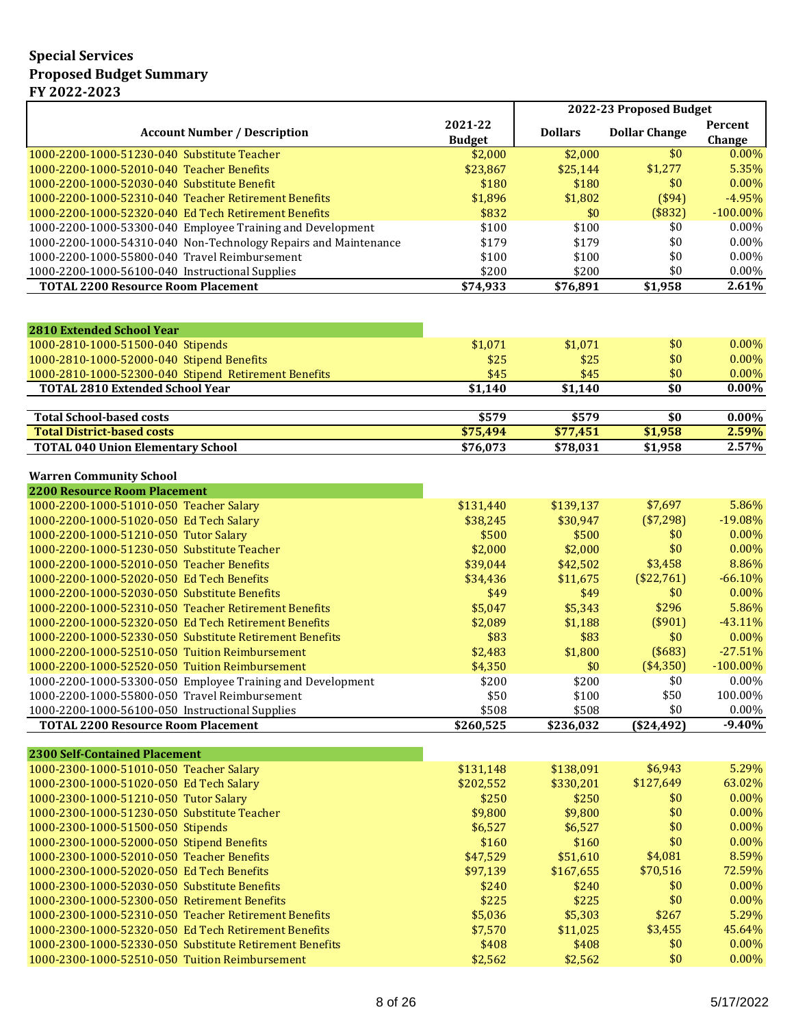|                                                                                                  |                          |                   | 2022-23 Proposed Budget |                          |
|--------------------------------------------------------------------------------------------------|--------------------------|-------------------|-------------------------|--------------------------|
| <b>Account Number / Description</b>                                                              | 2021-22                  | <b>Dollars</b>    | <b>Dollar Change</b>    | Percent                  |
| 1000-2200-1000-51230-040 Substitute Teacher                                                      | <b>Budget</b><br>\$2,000 | \$2,000           | \$0                     | Change<br>0.00%          |
| 1000-2200-1000-52010-040 Teacher Benefits                                                        | \$23,867                 | \$25,144          | \$1,277                 | 5.35%                    |
| 1000-2200-1000-52030-040 Substitute Benefit                                                      | \$180                    | \$180             | \$0                     | 0.00%                    |
| 1000-2200-1000-52310-040 Teacher Retirement Benefits                                             | \$1,896                  | \$1,802           | (\$94)                  | $-4.95%$                 |
| 1000-2200-1000-52320-040 Ed Tech Retirement Benefits                                             | \$832                    | \$0               | (\$832)                 | $-100.00\%$              |
| 1000-2200-1000-53300-040 Employee Training and Development                                       | \$100                    | \$100             | \$0                     | 0.00%                    |
| 1000-2200-1000-54310-040 Non-Technology Repairs and Maintenance                                  | \$179                    | \$179             | \$0                     | 0.00%                    |
| 1000-2200-1000-55800-040 Travel Reimbursement                                                    | \$100                    | \$100             | \$0                     | $0.00\%$                 |
| 1000-2200-1000-56100-040 Instructional Supplies                                                  | \$200                    | \$200             | \$0                     | 0.00%                    |
| <b>TOTAL 2200 Resource Room Placement</b>                                                        | \$74,933                 | \$76,891          | \$1,958                 | 2.61%                    |
|                                                                                                  |                          |                   |                         |                          |
| <b>2810 Extended School Year</b>                                                                 |                          |                   |                         |                          |
| 1000-2810-1000-51500-040 Stipends                                                                | \$1,071                  | \$1,071           | \$0                     | 0.00%                    |
| 1000-2810-1000-52000-040 Stipend Benefits                                                        | \$25                     | \$25              | \$0                     | 0.00%                    |
| 1000-2810-1000-52300-040 Stipend Retirement Benefits                                             | \$45                     | \$45              | \$0                     | 0.00%                    |
| <b>TOTAL 2810 Extended School Year</b>                                                           | \$1,140                  | \$1,140           | \$0                     | $0.00\%$                 |
|                                                                                                  |                          |                   |                         |                          |
| <b>Total School-based costs</b><br><b>Total District-based costs</b>                             | \$579<br>\$75,494        | \$579<br>\$77,451 | \$0<br>\$1,958          | $0.00\%$<br>2.59%        |
| <b>TOTAL 040 Union Elementary School</b>                                                         | \$76,073                 | \$78,031          | \$1,958                 | 2.57%                    |
|                                                                                                  |                          |                   |                         |                          |
| <b>Warren Community School</b>                                                                   |                          |                   |                         |                          |
| <b>2200 Resource Room Placement</b>                                                              |                          |                   |                         |                          |
| 1000-2200-1000-51010-050 Teacher Salary                                                          | \$131,440                | \$139,137         | \$7,697                 | 5.86%                    |
| 1000-2200-1000-51020-050 Ed Tech Salary                                                          | \$38,245                 | \$30,947          | (\$7,298)               | $-19.08%$                |
| 1000-2200-1000-51210-050 Tutor Salary                                                            | \$500                    | \$500             | \$0                     | 0.00%                    |
| 1000-2200-1000-51230-050 Substitute Teacher                                                      | \$2,000                  | \$2,000           | \$0                     | 0.00%                    |
| 1000-2200-1000-52010-050 Teacher Benefits                                                        | \$39,044                 | \$42,502          | \$3,458                 | 8.86%                    |
| 1000-2200-1000-52020-050 Ed Tech Benefits                                                        | \$34,436                 | \$11,675          | (\$22,761)              | $-66.10%$                |
| 1000-2200-1000-52030-050 Substitute Benefits                                                     | \$49                     | \$49              | \$0                     | 0.00%                    |
| 1000-2200-1000-52310-050 Teacher Retirement Benefits                                             | \$5,047                  | \$5,343           | \$296                   | 5.86%                    |
| 1000-2200-1000-52320-050 Ed Tech Retirement Benefits                                             | \$2,089                  | \$1,188           | (\$901)                 | $-43.11%$                |
| 1000-2200-1000-52330-050 Substitute Retirement Benefits                                          | \$83                     | \$83              | \$0                     | $0.00\%$                 |
| 1000-2200-1000-52510-050 Tuition Reimbursement<br>1000-2200-1000-52520-050 Tuition Reimbursement | \$2,483                  | \$1,800           | (\$683)<br>(\$4,350)    | $-27.51%$<br>$-100.00\%$ |
| 1000-2200-1000-53300-050 Employee Training and Development                                       | \$4,350<br>\$200         | \$0<br>\$200      | \$0                     | 0.00%                    |
| 1000-2200-1000-55800-050 Travel Reimbursement                                                    | \$50                     | \$100             | \$50                    | 100.00%                  |
| 1000-2200-1000-56100-050 Instructional Supplies                                                  | \$508                    | \$508             | \$0                     | 0.00%                    |
| <b>TOTAL 2200 Resource Room Placement</b>                                                        | \$260,525                | \$236,032         | $(*24,492)$             | $-9.40%$                 |
|                                                                                                  |                          |                   |                         |                          |
| <b>2300 Self-Contained Placement</b>                                                             |                          |                   |                         |                          |
| 1000-2300-1000-51010-050 Teacher Salary                                                          | \$131,148                | \$138,091         | \$6,943                 | 5.29%                    |
| 1000-2300-1000-51020-050 Ed Tech Salary                                                          | \$202,552                | \$330,201         | \$127,649               | 63.02%                   |
| 1000-2300-1000-51210-050 Tutor Salary                                                            | \$250                    | \$250             | \$0                     | 0.00%                    |
| 1000-2300-1000-51230-050 Substitute Teacher                                                      | \$9,800                  | \$9,800           | \$0                     | 0.00%                    |
| 1000-2300-1000-51500-050 Stipends                                                                | \$6,527                  | \$6,527           | \$0                     | 0.00%                    |
| 1000-2300-1000-52000-050 Stipend Benefits                                                        | \$160                    | \$160             | \$0                     | 0.00%                    |
| 1000-2300-1000-52010-050 Teacher Benefits                                                        | \$47,529                 | \$51,610          | \$4,081                 | 8.59%                    |
| 1000-2300-1000-52020-050 Ed Tech Benefits                                                        | \$97,139                 | \$167,655         | \$70,516                | 72.59%                   |
| 1000-2300-1000-52030-050 Substitute Benefits                                                     | \$240                    | \$240             | \$0                     | 0.00%                    |
| 1000-2300-1000-52300-050 Retirement Benefits                                                     | \$225                    | \$225             | \$0                     | 0.00%                    |
| 1000-2300-1000-52310-050 Teacher Retirement Benefits                                             | \$5,036                  | \$5,303           | \$267                   | 5.29%                    |
| 1000-2300-1000-52320-050 Ed Tech Retirement Benefits                                             | \$7,570                  | \$11,025          | \$3,455                 | 45.64%                   |
| 1000-2300-1000-52330-050 Substitute Retirement Benefits                                          | \$408                    | \$408             | \$0                     | 0.00%                    |
| 1000-2300-1000-52510-050 Tuition Reimbursement                                                   | \$2,562                  | \$2,562           | \$0                     | 0.00%                    |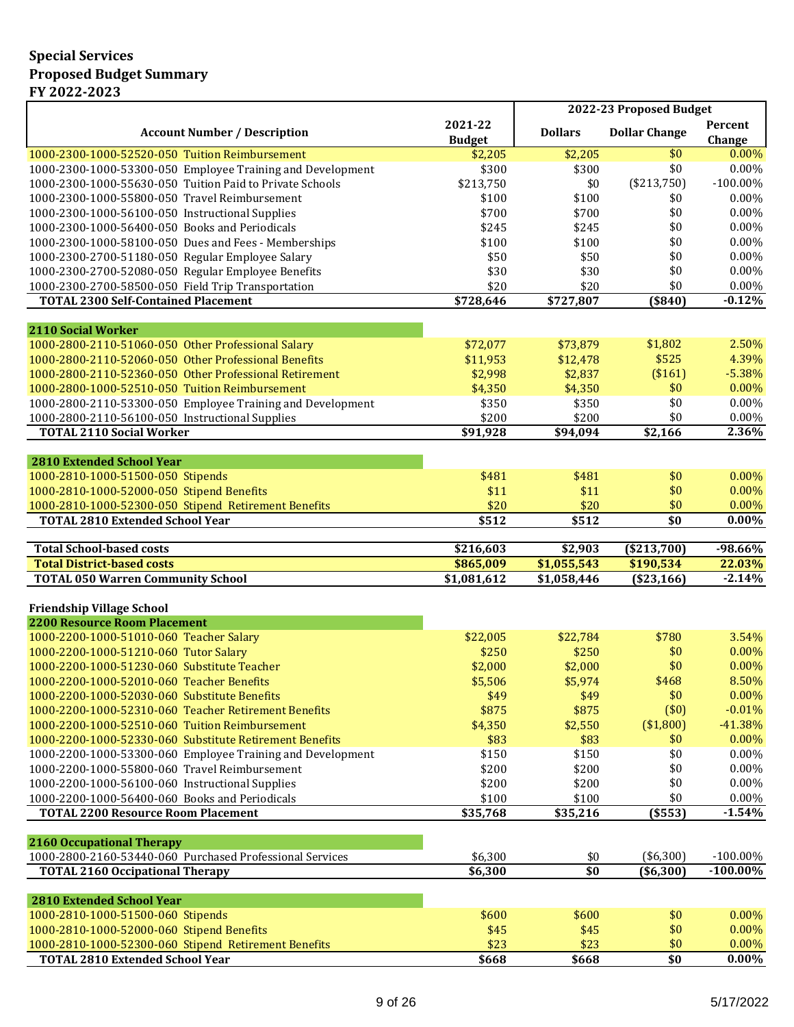|                                                                                                |                          |                            | 2022-23 Proposed Budget |                          |
|------------------------------------------------------------------------------------------------|--------------------------|----------------------------|-------------------------|--------------------------|
| <b>Account Number / Description</b>                                                            | 2021-22<br><b>Budget</b> | <b>Dollars</b>             | <b>Dollar Change</b>    | <b>Percent</b><br>Change |
| 1000-2300-1000-52520-050 Tuition Reimbursement                                                 | \$2,205                  | \$2,205                    | \$0                     | $0.00\%$                 |
| 1000-2300-1000-53300-050 Employee Training and Development                                     | \$300                    | \$300                      | \$0                     | 0.00%                    |
| 1000-2300-1000-55630-050 Tuition Paid to Private Schools                                       | \$213,750                | \$0                        | (\$213,750)             | $-100.00\%$              |
| 1000-2300-1000-55800-050 Travel Reimbursement                                                  | \$100                    | \$100                      | \$0                     | 0.00%                    |
| 1000-2300-1000-56100-050 Instructional Supplies                                                | \$700                    | \$700                      | \$0                     | 0.00%                    |
| 1000-2300-1000-56400-050 Books and Periodicals                                                 | \$245                    | \$245                      | \$0                     | 0.00%                    |
| 1000-2300-1000-58100-050 Dues and Fees - Memberships                                           | \$100                    | \$100                      | \$0                     | 0.00%                    |
| 1000-2300-2700-51180-050 Regular Employee Salary                                               | \$50                     | \$50                       | \$0                     | 0.00%                    |
| 1000-2300-2700-52080-050 Regular Employee Benefits                                             | \$30                     | \$30                       | \$0                     | 0.00%                    |
| 1000-2300-2700-58500-050 Field Trip Transportation                                             | \$20                     | \$20                       | \$0                     | $0.00\%$                 |
| <b>TOTAL 2300 Self-Contained Placement</b>                                                     | \$728,646                | \$727,807                  | (\$840)                 | $-0.12%$                 |
|                                                                                                |                          |                            |                         |                          |
| <b>2110 Social Worker</b>                                                                      |                          |                            |                         |                          |
| 1000-2800-2110-51060-050 Other Professional Salary                                             | \$72,077                 | \$73,879                   | \$1,802                 | 2.50%                    |
| 1000-2800-2110-52060-050 Other Professional Benefits                                           | \$11,953                 | \$12,478                   | \$525                   | 4.39%                    |
| 1000-2800-2110-52360-050 Other Professional Retirement                                         | \$2,998                  | \$2,837                    | (\$161)                 | $-5.38%$                 |
| 1000-2800-1000-52510-050 Tuition Reimbursement                                                 | \$4,350                  | \$4,350                    | \$0                     | $0.00\%$                 |
| 1000-2800-2110-53300-050 Employee Training and Development                                     | \$350                    | \$350                      | \$0                     | 0.00%                    |
| 1000-2800-2110-56100-050 Instructional Supplies                                                | \$200                    | \$200                      | \$0                     | $0.00\%$                 |
| <b>TOTAL 2110 Social Worker</b>                                                                | \$91,928                 | \$94,094                   | \$2,166                 | 2.36%                    |
|                                                                                                |                          |                            |                         |                          |
| <b>2810 Extended School Year</b>                                                               |                          |                            |                         |                          |
| 1000-2810-1000-51500-050 Stipends                                                              | \$481                    | \$481                      | \$0                     | 0.00%                    |
| 1000-2810-1000-52000-050 Stipend Benefits                                                      | \$11                     | \$11                       | \$0                     | 0.00%                    |
| 1000-2810-1000-52300-050 Stipend Retirement Benefits                                           | \$20                     | \$20                       | \$0                     | 0.00%                    |
| <b>TOTAL 2810 Extended School Year</b>                                                         | \$512                    | \$512                      | \$0                     | $0.00\%$                 |
|                                                                                                |                          |                            |                         |                          |
|                                                                                                |                          |                            |                         |                          |
| <b>Total School-based costs</b>                                                                | \$216,603                | \$2,903                    | (\$213,700)             | $-98.66%$                |
| <b>Total District-based costs</b>                                                              | \$865,009<br>\$1,081,612 | \$1,055,543<br>\$1,058,446 | \$190,534               |                          |
| <b>TOTAL 050 Warren Community School</b>                                                       |                          |                            | (\$23,166)              | 22.03%<br>$-2.14%$       |
| <b>Friendship Village School</b>                                                               |                          |                            |                         |                          |
| <b>2200 Resource Room Placement</b>                                                            |                          |                            |                         |                          |
| 1000-2200-1000-51010-060 Teacher Salary                                                        | \$22,005                 | \$22,784                   | \$780                   | 3.54%                    |
| 1000-2200-1000-51210-060 Tutor Salary                                                          | \$250                    | \$250                      | \$0                     | 0.00%                    |
| 1000-2200-1000-51230-060 Substitute Teacher                                                    | \$2,000                  | \$2,000                    | \$0                     | 0.00%                    |
| 1000-2200-1000-52010-060 Teacher Benefits                                                      | \$5,506                  | \$5,974                    | \$468                   | 8.50%                    |
| 1000-2200-1000-52030-060 Substitute Benefits                                                   | \$49                     | \$49                       | \$0                     | 0.00%                    |
| 1000-2200-1000-52310-060 Teacher Retirement Benefits                                           | \$875                    | \$875                      | (\$0)                   | $-0.01%$                 |
| 1000-2200-1000-52510-060 Tuition Reimbursement                                                 | \$4,350                  | \$2,550                    | (\$1,800)               | $-41.38%$                |
| 1000-2200-1000-52330-060 Substitute Retirement Benefits                                        | \$83                     | \$83                       | \$0                     | 0.00%                    |
| 1000-2200-1000-53300-060 Employee Training and Development                                     | \$150                    | \$150                      | \$0                     | $0.00\%$                 |
| 1000-2200-1000-55800-060 Travel Reimbursement                                                  | \$200                    | \$200                      | \$0                     | $0.00\%$                 |
| 1000-2200-1000-56100-060 Instructional Supplies                                                | \$200                    | \$200                      | \$0                     | $0.00\%$                 |
| 1000-2200-1000-56400-060 Books and Periodicals                                                 | \$100                    | \$100                      | \$0                     | 0.00%                    |
| <b>TOTAL 2200 Resource Room Placement</b>                                                      | \$35,768                 | \$35,216                   | ( \$553)                | $-1.54%$                 |
|                                                                                                |                          |                            |                         |                          |
| <b>2160 Occupational Therapy</b>                                                               |                          |                            |                         |                          |
| 1000-2800-2160-53440-060 Purchased Professional Services                                       | \$6,300                  | \$0                        | (\$6,300)               | $-100.00\%$              |
| <b>TOTAL 2160 Occipational Therapy</b>                                                         | \$6,300                  | \$0                        | $(*6,300)$              | $-100.00\%$              |
|                                                                                                |                          |                            |                         |                          |
| <b>2810 Extended School Year</b>                                                               |                          |                            |                         |                          |
| 1000-2810-1000-51500-060 Stipends                                                              | \$600                    | \$600                      | \$0                     |                          |
| 1000-2810-1000-52000-060 Stipend Benefits                                                      | \$45                     | \$45                       | \$0                     | 0.00%<br>0.00%           |
| 1000-2810-1000-52300-060 Stipend Retirement Benefits<br><b>TOTAL 2810 Extended School Year</b> | \$23<br>\$668            | \$23<br>\$668              | \$0<br>$\overline{\$0}$ | 0.00%<br>$0.00\%$        |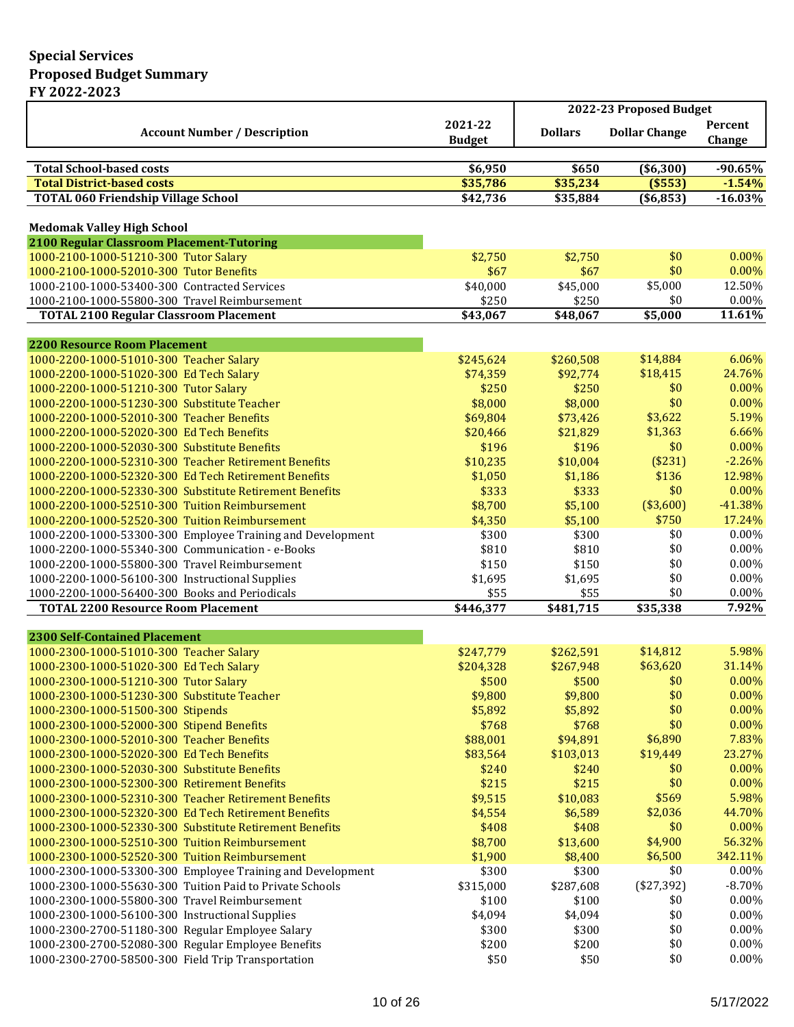|                                                                                              |                          |                      | 2022-23 Proposed Budget |                   |
|----------------------------------------------------------------------------------------------|--------------------------|----------------------|-------------------------|-------------------|
| <b>Account Number / Description</b>                                                          | 2021-22<br><b>Budget</b> | <b>Dollars</b>       | <b>Dollar Change</b>    | Percent<br>Change |
|                                                                                              |                          |                      |                         |                   |
| <b>Total School-based costs</b>                                                              | \$6,950                  | \$650                | ( \$6,300)              | $-90.65%$         |
| <b>Total District-based costs</b>                                                            | \$35,786                 | \$35,234             | (\$553)                 | $-1.54%$          |
| <b>TOTAL 060 Friendship Village School</b>                                                   | \$42,736                 | \$35,884             | ( \$6, 853)             | $-16.03%$         |
| <b>Medomak Valley High School</b>                                                            |                          |                      |                         |                   |
| 2100 Regular Classroom Placement-Tutoring                                                    |                          |                      |                         |                   |
| 1000-2100-1000-51210-300 Tutor Salary                                                        | \$2,750                  | \$2,750              | \$0                     | $0.00\%$          |
| 1000-2100-1000-52010-300 Tutor Benefits                                                      | \$67                     | \$67                 | \$0                     | 0.00%             |
| 1000-2100-1000-53400-300 Contracted Services                                                 | \$40,000                 | \$45,000             | \$5,000                 | 12.50%            |
| 1000-2100-1000-55800-300 Travel Reimbursement                                                | \$250                    | \$250                | \$0                     | 0.00%             |
| <b>TOTAL 2100 Regular Classroom Placement</b>                                                | \$43,067                 | \$48,067             | \$5,000                 | 11.61%            |
|                                                                                              |                          |                      |                         |                   |
| <b>2200 Resource Room Placement</b>                                                          |                          |                      |                         |                   |
| 1000-2200-1000-51010-300 Teacher Salary                                                      | \$245,624                | \$260,508            | \$14,884                | 6.06%             |
| 1000-2200-1000-51020-300 Ed Tech Salary                                                      | \$74,359                 | \$92,774             | \$18,415                | 24.76%            |
| 1000-2200-1000-51210-300 Tutor Salary<br>1000-2200-1000-51230-300 Substitute Teacher         | \$250                    | \$250                | \$0<br>\$0              | 0.00%<br>0.00%    |
| 1000-2200-1000-52010-300 Teacher Benefits                                                    | \$8,000                  | \$8,000              | \$3,622                 | 5.19%             |
| 1000-2200-1000-52020-300 Ed Tech Benefits                                                    | \$69,804<br>\$20,466     | \$73,426<br>\$21,829 | \$1,363                 | 6.66%             |
| 1000-2200-1000-52030-300 Substitute Benefits                                                 | \$196                    | \$196                | \$0                     | 0.00%             |
| 1000-2200-1000-52310-300 Teacher Retirement Benefits                                         | \$10,235                 | \$10,004             | (\$231)                 | $-2.26%$          |
| 1000-2200-1000-52320-300 Ed Tech Retirement Benefits                                         | \$1,050                  | \$1,186              | \$136                   | 12.98%            |
| 1000-2200-1000-52330-300 Substitute Retirement Benefits                                      | \$333                    | \$333                | \$0                     | 0.00%             |
| 1000-2200-1000-52510-300 Tuition Reimbursement                                               | \$8,700                  | \$5,100              | (\$3,600)               | $-41.38%$         |
| 1000-2200-1000-52520-300 Tuition Reimbursement                                               | \$4,350                  | \$5,100              | \$750                   | 17.24%            |
| 1000-2200-1000-53300-300 Employee Training and Development                                   | \$300                    | \$300                | \$0                     | $0.00\%$          |
| 1000-2200-1000-55340-300 Communication - e-Books                                             | \$810                    | \$810                | \$0                     | $0.00\%$          |
| 1000-2200-1000-55800-300 Travel Reimbursement                                                | \$150                    | \$150                | \$0                     | 0.00%             |
| 1000-2200-1000-56100-300 Instructional Supplies                                              | \$1,695                  | \$1,695              | \$0                     | $0.00\%$          |
| 1000-2200-1000-56400-300 Books and Periodicals                                               | \$55                     | \$55                 | \$0                     | $0.00\%$          |
| <b>TOTAL 2200 Resource Room Placement</b>                                                    | $\overline{$446,377}$    | \$481,715            | \$35,338                | 7.92%             |
|                                                                                              |                          |                      |                         |                   |
| <b>2300 Self-Contained Placement</b>                                                         |                          |                      |                         |                   |
| 1000-2300-1000-51010-300 Teacher Salary                                                      | \$247,779                | \$262,591            | \$14,812                | 5.98%             |
| 1000-2300-1000-51020-300 Ed Tech Salary                                                      | \$204,328                | \$267,948            | \$63,620                | 31.14%            |
| 1000-2300-1000-51210-300 Tutor Salary                                                        | \$500                    | \$500                | \$0                     | $0.00\%$          |
| 1000-2300-1000-51230-300 Substitute Teacher                                                  | \$9,800                  | \$9,800              | \$0                     | 0.00%             |
| 1000-2300-1000-51500-300 Stipends                                                            | \$5,892                  | \$5,892              | \$0                     | 0.00%             |
| 1000-2300-1000-52000-300 Stipend Benefits                                                    | \$768                    | \$768                | \$0<br>\$6,890          | 0.00%             |
| 1000-2300-1000-52010-300 Teacher Benefits                                                    | \$88,001                 | \$94,891             |                         | 7.83%<br>23.27%   |
| 1000-2300-1000-52020-300 Ed Tech Benefits                                                    | \$83,564                 | \$103,013            | \$19,449                | 0.00%             |
| 1000-2300-1000-52030-300 Substitute Benefits<br>1000-2300-1000-52300-300 Retirement Benefits | \$240<br>\$215           | \$240<br>\$215       | \$0<br>\$0              | 0.00%             |
| 1000-2300-1000-52310-300 Teacher Retirement Benefits                                         | \$9,515                  | \$10,083             | \$569                   | 5.98%             |
| 1000-2300-1000-52320-300 Ed Tech Retirement Benefits                                         | \$4,554                  | \$6,589              | \$2,036                 | 44.70%            |
| 1000-2300-1000-52330-300 Substitute Retirement Benefits                                      | \$408                    | \$408                | \$0                     | $0.00\%$          |
| 1000-2300-1000-52510-300 Tuition Reimbursement                                               | \$8,700                  | \$13,600             | \$4,900                 | 56.32%            |
| 1000-2300-1000-52520-300 Tuition Reimbursement                                               | \$1,900                  | \$8,400              | \$6,500                 | 342.11%           |
| 1000-2300-1000-53300-300 Employee Training and Development                                   | \$300                    | \$300                | \$0                     | 0.00%             |
| 1000-2300-1000-55630-300 Tuition Paid to Private Schools                                     | \$315,000                | \$287,608            | $(*27,392)$             | $-8.70%$          |
| 1000-2300-1000-55800-300 Travel Reimbursement                                                | \$100                    | \$100                | \$0                     | $0.00\%$          |
| 1000-2300-1000-56100-300 Instructional Supplies                                              | \$4,094                  | \$4,094              | \$0                     | $0.00\%$          |
| 1000-2300-2700-51180-300 Regular Employee Salary                                             | \$300                    | \$300                | \$0                     | $0.00\%$          |
| 1000-2300-2700-52080-300 Regular Employee Benefits                                           | \$200                    | \$200                | \$0                     | $0.00\%$          |
| 1000-2300-2700-58500-300 Field Trip Transportation                                           | \$50                     | \$50                 | \$0                     | $0.00\%$          |
|                                                                                              |                          |                      |                         |                   |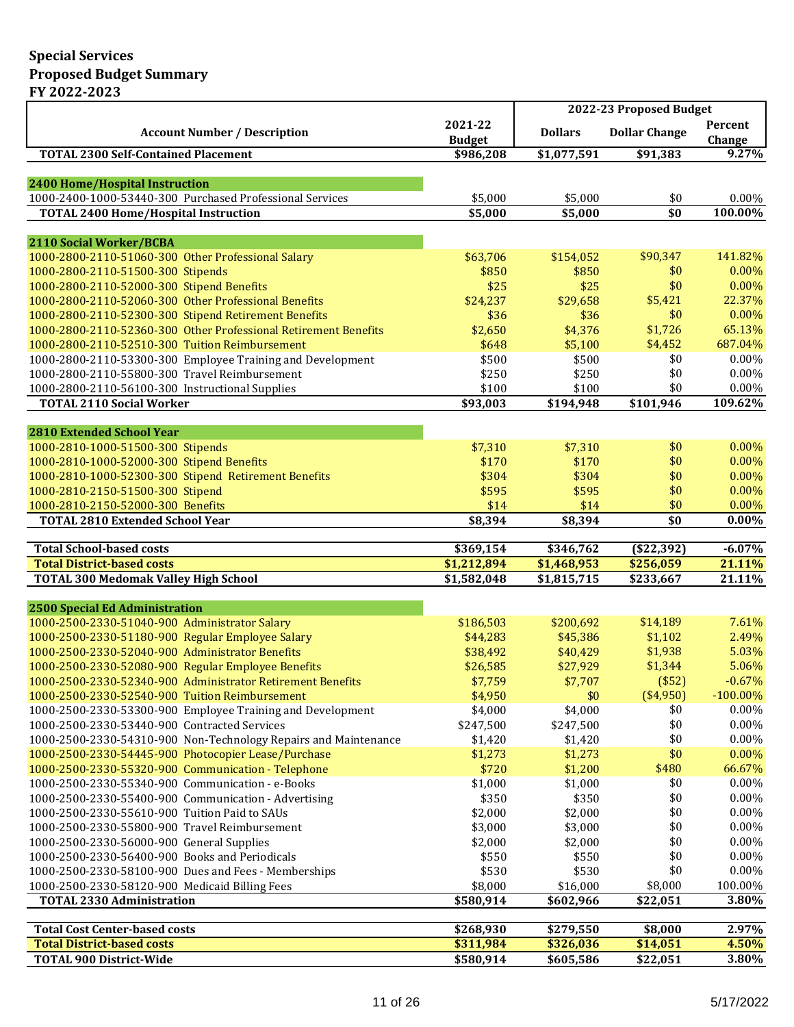|                                                                                |                            | 2022-23 Proposed Budget    |                        |                                |
|--------------------------------------------------------------------------------|----------------------------|----------------------------|------------------------|--------------------------------|
| <b>Account Number / Description</b>                                            | 2021-22<br><b>Budget</b>   | <b>Dollars</b>             | <b>Dollar Change</b>   | Percent<br>Change              |
| <b>TOTAL 2300 Self-Contained Placement</b>                                     | \$986,208                  | \$1,077,591                | \$91,383               | 9.27%                          |
|                                                                                |                            |                            |                        |                                |
| 2400 Home/Hospital Instruction                                                 |                            |                            |                        |                                |
| 1000-2400-1000-53440-300 Purchased Professional Services                       | \$5,000                    | \$5,000                    | \$0                    | 0.00%                          |
| <b>TOTAL 2400 Home/Hospital Instruction</b>                                    | \$5,000                    | \$5,000                    | \$0                    | 100.00%                        |
|                                                                                |                            |                            |                        |                                |
| 2110 Social Worker/BCBA                                                        |                            |                            |                        |                                |
| 1000-2800-2110-51060-300 Other Professional Salary                             | \$63,706                   | \$154,052                  | \$90,347               | 141.82%                        |
| 1000-2800-2110-51500-300 Stipends                                              | \$850                      | \$850                      | \$0                    | 0.00%                          |
| 1000-2800-2110-52000-300 Stipend Benefits                                      | \$25                       | \$25                       | \$0                    | 0.00%                          |
| 1000-2800-2110-52060-300 Other Professional Benefits                           | \$24,237                   | \$29,658                   | \$5,421                | 22.37%                         |
| 1000-2800-2110-52300-300 Stipend Retirement Benefits                           | \$36                       | \$36                       | \$0                    | 0.00%                          |
| 1000-2800-2110-52360-300 Other Professional Retirement Benefits                | \$2,650                    | \$4,376                    | \$1,726                | 65.13%                         |
| 1000-2800-2110-52510-300 Tuition Reimbursement                                 | \$648                      | \$5,100                    | \$4,452                | 687.04%                        |
| 1000-2800-2110-53300-300 Employee Training and Development                     | \$500                      | \$500                      | \$0                    | 0.00%                          |
| 1000-2800-2110-55800-300 Travel Reimbursement                                  | \$250                      | \$250                      | \$0                    | $0.00\%$                       |
| 1000-2800-2110-56100-300 Instructional Supplies                                | \$100                      | \$100                      | \$0                    | 0.00%                          |
| <b>TOTAL 2110 Social Worker</b>                                                | \$93,003                   | \$194,948                  | \$101,946              | 109.62%                        |
|                                                                                |                            |                            |                        |                                |
| <b>2810 Extended School Year</b>                                               | \$7,310                    |                            | \$0                    | 0.00%                          |
| 1000-2810-1000-51500-300 Stipends<br>1000-2810-1000-52000-300 Stipend Benefits | \$170                      | \$7,310                    | \$0                    | 0.00%                          |
|                                                                                |                            | \$170<br>\$304             | \$0                    | 0.00%                          |
| 1000-2810-1000-52300-300 Stipend Retirement Benefits                           | \$304                      |                            | \$0                    | 0.00%                          |
| 1000-2810-2150-51500-300 Stipend                                               | \$595<br>\$14              | \$595                      | \$0                    | 0.00%                          |
| 1000-2810-2150-52000-300 Benefits                                              |                            | \$14                       | \$0                    | $0.00\%$                       |
| <b>TOTAL 2810 Extended School Year</b>                                         | \$8,394                    | \$8,394                    |                        |                                |
|                                                                                |                            |                            |                        |                                |
|                                                                                |                            |                            |                        |                                |
| <b>Total School-based costs</b><br><b>Total District-based costs</b>           | \$369,154                  | \$346,762                  | (\$22,392)             |                                |
|                                                                                | \$1,212,894<br>\$1,582,048 | \$1,468,953<br>\$1,815,715 | \$256,059<br>\$233,667 | 21.11%<br>21.11%               |
| <b>TOTAL 300 Medomak Valley High School</b>                                    |                            |                            |                        |                                |
| 2500 Special Ed Administration                                                 |                            |                            |                        |                                |
| 1000-2500-2330-51040-900 Administrator Salary                                  | \$186,503                  | \$200,692                  | \$14,189               | 7.61%                          |
| 1000-2500-2330-51180-900 Regular Employee Salary                               | \$44,283                   | \$45,386                   | \$1,102                | 2.49%                          |
| 1000-2500-2330-52040-900 Administrator Benefits                                | \$38,492                   | \$40,429                   | \$1,938                | 5.03%                          |
| 1000-2500-2330-52080-900 Regular Employee Benefits                             | \$26,585                   | \$27,929                   | \$1,344                | 5.06%                          |
| 1000-2500-2330-52340-900 Administrator Retirement Benefits                     | \$7,759                    | \$7,707                    | $($ \$52)              |                                |
| 1000-2500-2330-52540-900 Tuition Reimbursement                                 | \$4,950                    | \$0                        | (\$4,950)              | $-100.00\%$                    |
| 1000-2500-2330-53300-900 Employee Training and Development                     | \$4,000                    | \$4,000                    | \$0                    | 0.00%                          |
| 1000-2500-2330-53440-900 Contracted Services                                   | \$247,500                  | \$247,500                  | \$0                    | $0.00\%$                       |
| 1000-2500-2330-54310-900 Non-Technology Repairs and Maintenance                | \$1,420                    | \$1,420                    | \$0                    | 0.00%                          |
| 1000-2500-2330-54445-900 Photocopier Lease/Purchase                            | \$1,273                    | \$1,273                    | \$0                    | 0.00%                          |
| 1000-2500-2330-55320-900 Communication - Telephone                             | \$720                      | \$1,200                    | \$480                  | 66.67%                         |
| 1000-2500-2330-55340-900 Communication - e-Books                               | \$1,000                    | \$1,000                    | \$0                    | $-6.07\%$<br>$-0.67%$<br>0.00% |
| 1000-2500-2330-55400-900 Communication - Advertising                           | \$350                      | \$350                      | \$0                    | 0.00%                          |
| 1000-2500-2330-55610-900 Tuition Paid to SAUs                                  | \$2,000                    | \$2,000                    | \$0                    | 0.00%                          |
| 1000-2500-2330-55800-900 Travel Reimbursement                                  | \$3,000                    | \$3,000                    | \$0                    | 0.00%                          |
| 1000-2500-2330-56000-900 General Supplies                                      | \$2,000                    | \$2,000                    | \$0                    | 0.00%                          |
| 1000-2500-2330-56400-900 Books and Periodicals                                 | \$550                      | \$550                      | \$0                    | 0.00%                          |
| 1000-2500-2330-58100-900 Dues and Fees - Memberships                           | \$530                      | \$530                      | \$0                    | 0.00%                          |
| 1000-2500-2330-58120-900 Medicaid Billing Fees                                 | \$8,000                    | \$16,000                   | \$8,000                | 100.00%                        |
| <b>TOTAL 2330 Administration</b>                                               | \$580,914                  | \$602,966                  | \$22,051               | 3.80%                          |
|                                                                                |                            |                            |                        |                                |
| <b>Total Cost Center-based costs</b>                                           | \$268,930                  | \$279,550                  | \$8,000                |                                |
| <b>Total District-based costs</b><br><b>TOTAL 900 District-Wide</b>            | \$311,984<br>\$580,914     | \$326,036<br>\$605,586     | \$14,051<br>\$22,051   | 2.97%<br>4.50%<br>$3.80\%$     |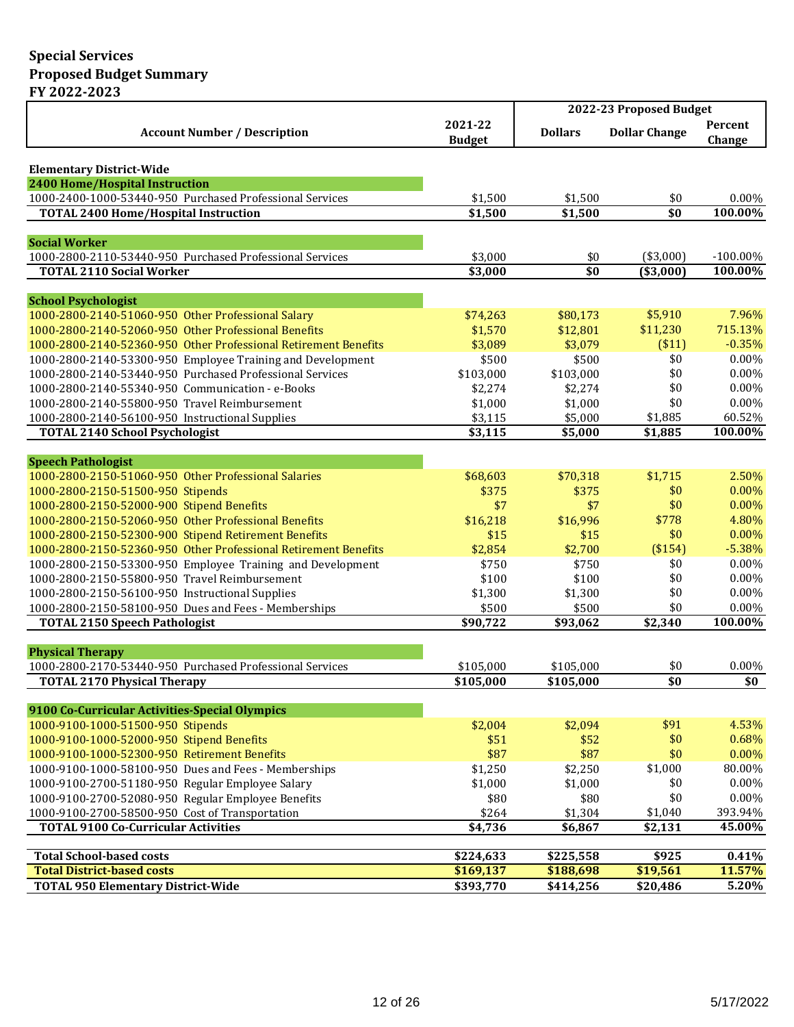|                                                                                                                         |                          | 2022-23 Proposed Budget      |                      |                   |  |
|-------------------------------------------------------------------------------------------------------------------------|--------------------------|------------------------------|----------------------|-------------------|--|
| <b>Account Number / Description</b>                                                                                     | 2021-22<br><b>Budget</b> | <b>Dollars</b>               | <b>Dollar Change</b> | Percent<br>Change |  |
|                                                                                                                         |                          |                              |                      |                   |  |
| <b>Elementary District-Wide</b>                                                                                         |                          |                              |                      |                   |  |
| 2400 Home/Hospital Instruction                                                                                          |                          |                              | \$0                  | $0.00\%$          |  |
| 1000-2400-1000-53440-950 Purchased Professional Services<br><b>TOTAL 2400 Home/Hospital Instruction</b>                 | \$1,500<br>\$1,500       | \$1,500<br>\$1,500           | \$0                  | 100.00%           |  |
|                                                                                                                         |                          |                              |                      |                   |  |
| <b>Social Worker</b>                                                                                                    |                          |                              |                      |                   |  |
| 1000-2800-2110-53440-950 Purchased Professional Services                                                                | \$3,000                  | \$0                          | (\$3,000)            | $-100.00\%$       |  |
| <b>TOTAL 2110 Social Worker</b>                                                                                         | \$3,000                  | $\overline{\boldsymbol{50}}$ | (\$3,000)            | 100.00%           |  |
|                                                                                                                         |                          |                              |                      |                   |  |
| <b>School Psychologist</b>                                                                                              |                          |                              |                      |                   |  |
| 1000-2800-2140-51060-950 Other Professional Salary                                                                      | \$74,263                 | \$80,173                     | \$5,910              | 7.96%             |  |
| 1000-2800-2140-52060-950 Other Professional Benefits                                                                    | \$1,570                  | \$12,801                     | \$11,230             | 715.13%           |  |
| 1000-2800-2140-52360-950 Other Professional Retirement Benefits                                                         | \$3,089                  | \$3,079                      | ( \$11)              | $-0.35%$          |  |
| 1000-2800-2140-53300-950 Employee Training and Development                                                              | \$500                    | \$500                        | \$0                  | 0.00%             |  |
| 1000-2800-2140-53440-950 Purchased Professional Services                                                                | \$103,000                | \$103,000                    | \$0                  | $0.00\%$          |  |
| 1000-2800-2140-55340-950 Communication - e-Books                                                                        | \$2,274                  | \$2,274                      | \$0                  | 0.00%             |  |
| 1000-2800-2140-55800-950 Travel Reimbursement                                                                           | \$1,000                  | \$1,000                      | \$0                  | $0.00\%$          |  |
| 1000-2800-2140-56100-950 Instructional Supplies                                                                         | \$3,115                  | \$5,000                      | \$1,885              | 60.52%            |  |
| <b>TOTAL 2140 School Psychologist</b>                                                                                   | \$3,115                  | \$5,000                      | \$1,885              | 100.00%           |  |
|                                                                                                                         |                          |                              |                      |                   |  |
| <b>Speech Pathologist</b>                                                                                               |                          |                              |                      |                   |  |
| 1000-2800-2150-51060-950 Other Professional Salaries                                                                    | \$68,603                 | \$70,318                     | \$1,715              | 2.50%             |  |
| 1000-2800-2150-51500-950 Stipends                                                                                       | \$375                    | \$375                        | \$0<br>\$0           | $0.00\%$          |  |
| 1000-2800-2150-52000-900 Stipend Benefits                                                                               | \$7                      | \$7                          | \$778                | $0.00\%$<br>4.80% |  |
| 1000-2800-2150-52060-950 Other Professional Benefits                                                                    | \$16,218<br>\$15         | \$16,996                     | \$0                  | $0.00\%$          |  |
| 1000-2800-2150-52300-900 Stipend Retirement Benefits<br>1000-2800-2150-52360-950 Other Professional Retirement Benefits | \$2,854                  | \$15<br>\$2,700              | (\$154)              | $-5.38%$          |  |
| 1000-2800-2150-53300-950 Employee Training and Development                                                              | \$750                    | \$750                        | \$0                  | 0.00%             |  |
| 1000-2800-2150-55800-950 Travel Reimbursement                                                                           | \$100                    | \$100                        | \$0                  | $0.00\%$          |  |
| 1000-2800-2150-56100-950 Instructional Supplies                                                                         | \$1,300                  | \$1,300                      | \$0                  | $0.00\%$          |  |
| 1000-2800-2150-58100-950 Dues and Fees - Memberships                                                                    | \$500                    | \$500                        | \$0                  | $0.00\%$          |  |
| <b>TOTAL 2150 Speech Pathologist</b>                                                                                    | \$90,722                 | \$93,062                     | \$2,340              | 100.00%           |  |
|                                                                                                                         |                          |                              |                      |                   |  |
| <b>Physical Therapy</b>                                                                                                 |                          |                              |                      |                   |  |
| 1000-2800-2170-53440-950 Purchased Professional Services                                                                | \$105,000                | \$105,000                    | \$0                  | $0.00\%$          |  |
| <b>TOTAL 2170 Physical Therapy</b>                                                                                      | \$105,000                | \$105,000                    | \$0                  | \$0               |  |
|                                                                                                                         |                          |                              |                      |                   |  |
| 9100 Co-Curricular Activities-Special Olympics                                                                          |                          |                              |                      |                   |  |
| 1000-9100-1000-51500-950 Stipends                                                                                       | \$2,004                  | \$2,094                      | \$91                 | 4.53%             |  |
| 1000-9100-1000-52000-950 Stipend Benefits                                                                               | \$51                     | \$52                         | \$0                  | 0.68%             |  |
| 1000-9100-1000-52300-950 Retirement Benefits                                                                            | \$87                     | \$87                         | \$0                  | 0.00%             |  |
| 1000-9100-1000-58100-950 Dues and Fees - Memberships                                                                    | \$1,250                  | \$2,250                      | \$1,000              | 80.00%            |  |
| 1000-9100-2700-51180-950 Regular Employee Salary                                                                        | \$1,000                  | \$1,000                      | \$0                  | 0.00%             |  |
| 1000-9100-2700-52080-950 Regular Employee Benefits                                                                      | \$80                     | \$80                         | \$0                  | 0.00%             |  |
| 1000-9100-2700-58500-950 Cost of Transportation                                                                         | \$264                    | \$1,304                      | \$1,040              | 393.94%           |  |
| <b>TOTAL 9100 Co-Curricular Activities</b>                                                                              | \$4,736                  | \$6,867                      | \$2,131              | 45.00%            |  |
|                                                                                                                         |                          |                              |                      |                   |  |
| <b>Total School-based costs</b><br><b>Total District-based costs</b>                                                    | \$224,633<br>\$169,137   | \$225,558                    | \$925                | 0.41%<br>11.57%   |  |
| <b>TOTAL 950 Elementary District-Wide</b>                                                                               | \$393,770                | \$188,698<br>\$414,256       | \$19,561<br>\$20,486 | 5.20%             |  |
|                                                                                                                         |                          |                              |                      |                   |  |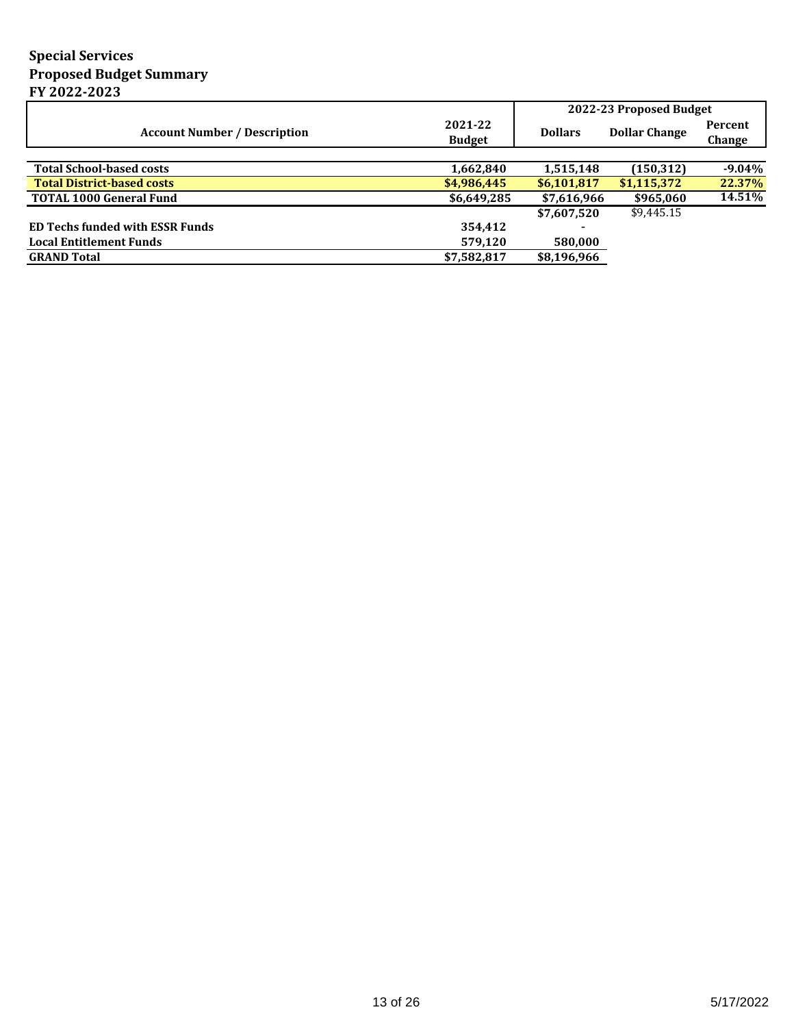|                                        |                          | 2022-23 Proposed Budget |                      |                   |
|----------------------------------------|--------------------------|-------------------------|----------------------|-------------------|
| <b>Account Number / Description</b>    | 2021-22<br><b>Budget</b> | <b>Dollars</b>          | <b>Dollar Change</b> | Percent<br>Change |
|                                        |                          |                         |                      |                   |
| <b>Total School-based costs</b>        | 1,662,840                | 1,515,148               | (150, 312)           | $-9.04\%$         |
| <b>Total District-based costs</b>      | \$4,986,445              | \$6,101,817             | \$1,115,372          | 22.37%            |
| <b>TOTAL 1000 General Fund</b>         | \$6,649,285              | \$7,616,966             | \$965,060            | 14.51%            |
|                                        |                          | \$7,607,520             | \$9,445.15           |                   |
| <b>ED Techs funded with ESSR Funds</b> | 354,412                  |                         |                      |                   |
| <b>Local Entitlement Funds</b>         | 579,120                  | 580,000                 |                      |                   |
| <b>GRAND Total</b>                     | \$7,582,817              | \$8,196,966             |                      |                   |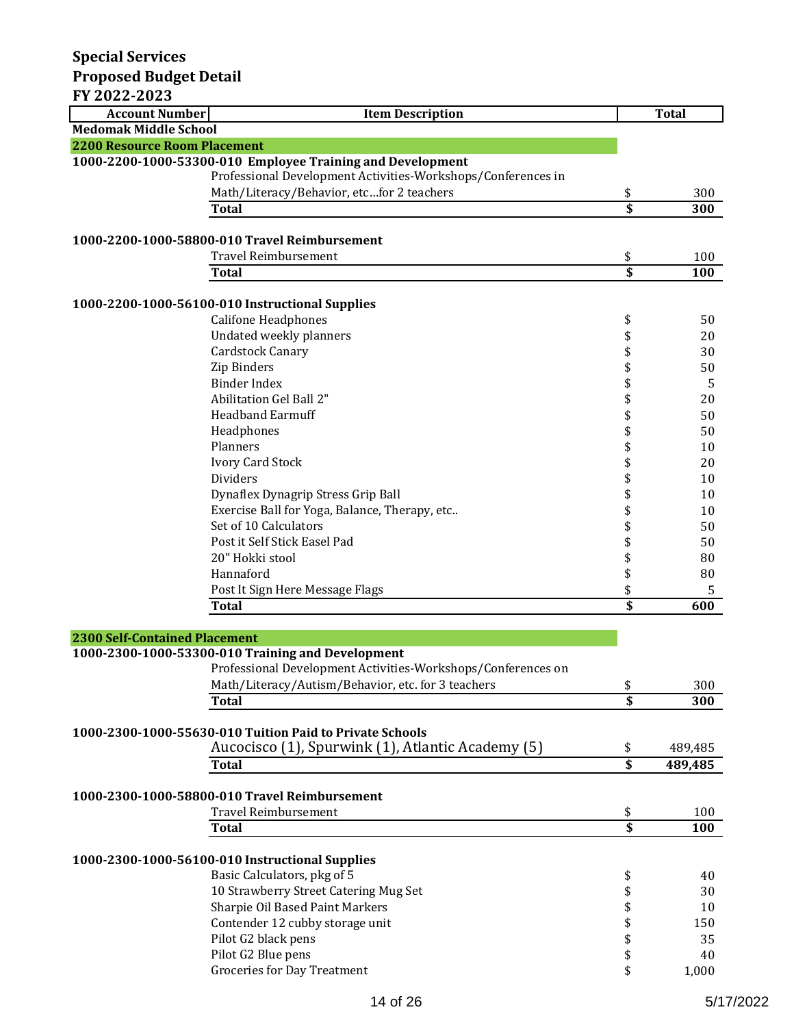| FY 2022-2023                         |                                                              |                         |              |
|--------------------------------------|--------------------------------------------------------------|-------------------------|--------------|
| <b>Account Number</b>                | <b>Item Description</b>                                      |                         | <b>Total</b> |
| <b>Medomak Middle School</b>         |                                                              |                         |              |
| <b>2200 Resource Room Placement</b>  |                                                              |                         |              |
|                                      | 1000-2200-1000-53300-010 Employee Training and Development   |                         |              |
|                                      | Professional Development Activities-Workshops/Conferences in |                         |              |
|                                      | Math/Literacy/Behavior, etcfor 2 teachers                    | \$                      | 300          |
|                                      | <b>Total</b>                                                 | \$                      | 300          |
|                                      |                                                              |                         |              |
|                                      | 1000-2200-1000-58800-010 Travel Reimbursement                |                         |              |
|                                      | <b>Travel Reimbursement</b>                                  | \$                      | 100          |
|                                      | <b>Total</b>                                                 | \$                      | 100          |
|                                      |                                                              |                         |              |
|                                      | 1000-2200-1000-56100-010 Instructional Supplies              |                         |              |
|                                      | <b>Califone Headphones</b>                                   | \$                      | 50           |
|                                      | Undated weekly planners<br>Cardstock Canary                  | \$                      | 20           |
|                                      | Zip Binders                                                  |                         | 30<br>50     |
|                                      | <b>Binder Index</b>                                          |                         |              |
|                                      | Abilitation Gel Ball 2"                                      | \$                      | 5            |
|                                      | <b>Headband Earmuff</b>                                      | \$                      | 20<br>50     |
|                                      | Headphones                                                   | \$                      | 50           |
|                                      | Planners                                                     | \$<br>\$                | 10           |
|                                      | Ivory Card Stock                                             | \$                      | 20           |
|                                      | Dividers                                                     | \$                      | 10           |
|                                      | Dynaflex Dynagrip Stress Grip Ball                           | \$                      | 10           |
|                                      | Exercise Ball for Yoga, Balance, Therapy, etc                | \$                      | 10           |
|                                      | Set of 10 Calculators                                        |                         | 50           |
|                                      | Post it Self Stick Easel Pad                                 |                         | 50           |
|                                      | 20" Hokki stool                                              | \$                      | 80           |
|                                      | Hannaford                                                    | \$                      | 80           |
|                                      | Post It Sign Here Message Flags                              | \$                      | 5            |
|                                      | <b>Total</b>                                                 | \$                      | 600          |
|                                      |                                                              |                         |              |
| <b>2300 Self-Contained Placement</b> |                                                              |                         |              |
|                                      | 1000-2300-1000-53300-010 Training and Development            |                         |              |
|                                      | Professional Development Activities-Workshops/Conferences on |                         |              |
|                                      | Math/Literacy/Autism/Behavior, etc. for 3 teachers           | \$                      | 300          |
|                                      | <b>Total</b>                                                 | \$                      | 300          |
|                                      |                                                              |                         |              |
|                                      | 1000-2300-1000-55630-010 Tuition Paid to Private Schools     |                         |              |
|                                      | Aucocisco (1), Spurwink (1), Atlantic Academy (5)            | \$                      | 489,485      |
|                                      | <b>Total</b>                                                 | \$                      | 489,485      |
|                                      |                                                              |                         |              |
|                                      | 1000-2300-1000-58800-010 Travel Reimbursement                |                         |              |
|                                      | <b>Travel Reimbursement</b>                                  | \$                      | 100          |
|                                      | Total                                                        | $\overline{\mathsf{s}}$ | 100          |
|                                      |                                                              |                         |              |
|                                      | 1000-2300-1000-56100-010 Instructional Supplies              |                         |              |
|                                      | Basic Calculators, pkg of 5                                  | \$                      | 40           |
|                                      | 10 Strawberry Street Catering Mug Set                        | \$                      | 30           |
|                                      | Sharpie Oil Based Paint Markers                              | \$                      | 10           |
|                                      | Contender 12 cubby storage unit                              | \$                      | 150          |
|                                      | Pilot G2 black pens                                          | \$                      | 35           |
|                                      | Pilot G2 Blue pens<br><b>Groceries for Day Treatment</b>     | \$<br>\$                | 40           |
|                                      |                                                              |                         | 1,000        |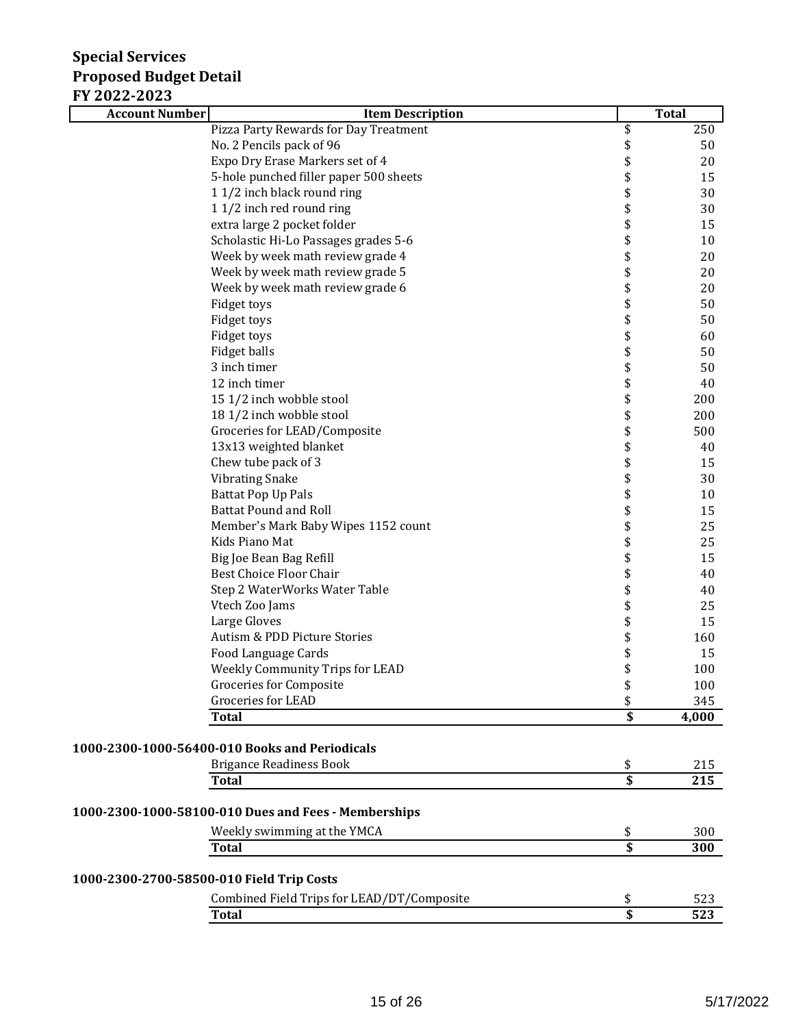| 1 1 <i>2</i> 022 2023<br><b>Account Number</b> | <b>Item Description</b>                              |                       | <b>Total</b>     |
|------------------------------------------------|------------------------------------------------------|-----------------------|------------------|
|                                                | Pizza Party Rewards for Day Treatment                | \$                    | 250              |
|                                                | No. 2 Pencils pack of 96                             | \$                    | 50               |
|                                                | Expo Dry Erase Markers set of 4                      | \$                    | 20               |
|                                                | 5-hole punched filler paper 500 sheets               | \$                    | 15               |
|                                                | 1 1/2 inch black round ring                          | \$                    | 30               |
|                                                | 1 1/2 inch red round ring                            | \$                    | 30               |
|                                                | extra large 2 pocket folder                          | \$                    | 15               |
|                                                | Scholastic Hi-Lo Passages grades 5-6                 | \$                    | 10               |
|                                                | Week by week math review grade 4                     | \$\$                  | 20               |
|                                                | Week by week math review grade 5                     |                       | 20               |
|                                                | Week by week math review grade 6                     |                       | 20               |
|                                                | Fidget toys                                          | \$<br>\$              | 50               |
|                                                | Fidget toys                                          |                       | 50               |
|                                                | Fidget toys                                          | \$                    | 60               |
|                                                | Fidget balls                                         | \$                    | 50               |
|                                                | 3 inch timer                                         | \$                    | 50               |
|                                                | 12 inch timer                                        |                       | 40               |
|                                                | 15 1/2 inch wobble stool                             | \$\$                  | 200              |
|                                                | 18 1/2 inch wobble stool                             |                       | 200              |
|                                                | Groceries for LEAD/Composite                         | \$                    | 500              |
|                                                | 13x13 weighted blanket                               |                       | 40               |
|                                                | Chew tube pack of 3                                  | \$\$\$                | 15               |
|                                                | <b>Vibrating Snake</b>                               |                       | 30               |
|                                                | <b>Battat Pop Up Pals</b>                            |                       | 10               |
|                                                | <b>Battat Pound and Roll</b>                         | \$                    | 15               |
|                                                | Member's Mark Baby Wipes 1152 count                  | \$                    | 25               |
|                                                | Kids Piano Mat                                       | \$                    | 25               |
|                                                | Big Joe Bean Bag Refill                              | \$                    | 15               |
|                                                | Best Choice Floor Chair                              | \$<br>\$              | 40               |
|                                                | Step 2 WaterWorks Water Table                        |                       | 40               |
|                                                | Vtech Zoo Jams                                       | \$<br>\$              | 25               |
|                                                | Large Gloves                                         |                       | 15               |
|                                                | Autism & PDD Picture Stories                         | \$                    | 160              |
|                                                | Food Language Cards                                  | \$                    | 15               |
|                                                | Weekly Community Trips for LEAD                      | \$                    | 100              |
|                                                | Groceries for Composite                              | \$                    | 100              |
|                                                | <b>Groceries for LEAD</b><br><b>Total</b>            | \$<br>$\overline{\$}$ | 345<br>4,000     |
|                                                |                                                      |                       |                  |
|                                                | 1000-2300-1000-56400-010 Books and Periodicals       |                       |                  |
|                                                | <b>Brigance Readiness Book</b>                       | \$                    | 215              |
|                                                | <b>Total</b>                                         | \$                    | $\overline{215}$ |
|                                                | 1000-2300-1000-58100-010 Dues and Fees - Memberships |                       |                  |
|                                                | Weekly swimming at the YMCA                          | \$                    | 300              |
|                                                | <b>Total</b>                                         | $\overline{\$}$       | 300              |
| 1000-2300-2700-58500-010 Field Trip Costs      |                                                      |                       |                  |
|                                                | Combined Field Trips for LEAD/DT/Composite           | \$                    | 523              |
|                                                | <b>Total</b>                                         | $\overline{\$}$       | $\overline{523}$ |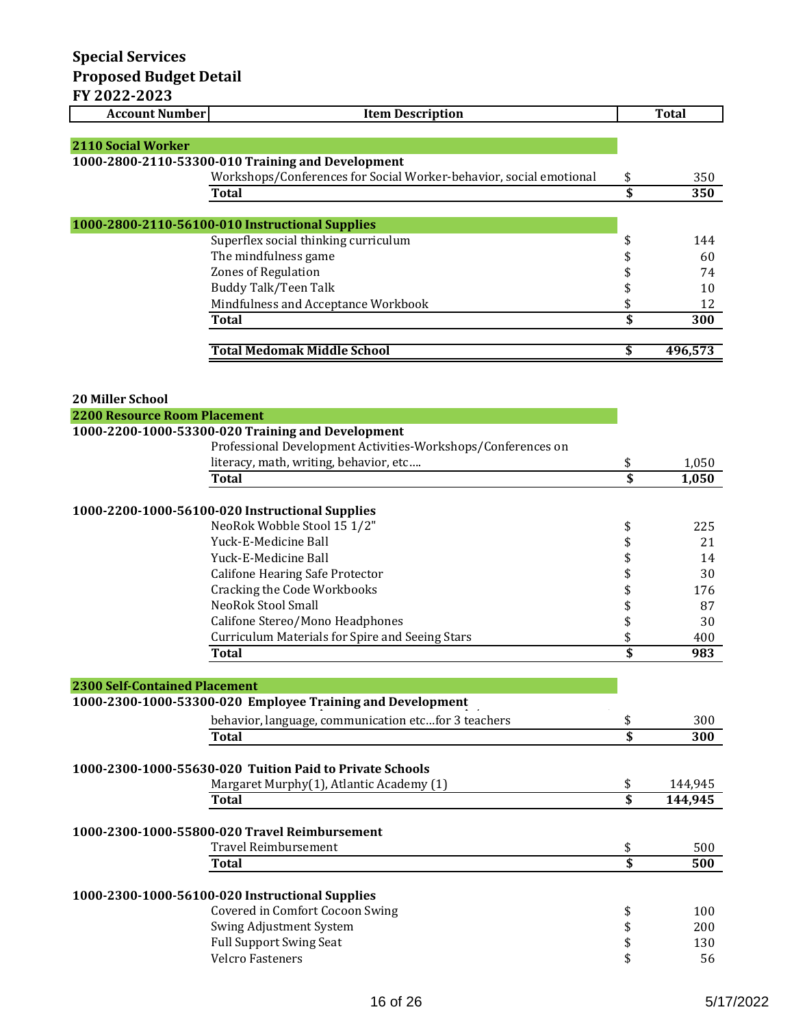| <b>Account Number</b>                | <b>Item Description</b>                                            |                                      | <b>Total</b> |
|--------------------------------------|--------------------------------------------------------------------|--------------------------------------|--------------|
|                                      |                                                                    |                                      |              |
| <b>2110 Social Worker</b>            |                                                                    |                                      |              |
|                                      | 1000-2800-2110-53300-010 Training and Development                  |                                      |              |
|                                      | Workshops/Conferences for Social Worker-behavior, social emotional | \$                                   | 350          |
|                                      | <b>Total</b>                                                       | $\overline{\boldsymbol{\mathsf{s}}}$ | 350          |
|                                      |                                                                    |                                      |              |
|                                      | 1000-2800-2110-56100-010 Instructional Supplies                    |                                      |              |
|                                      | Superflex social thinking curriculum                               | \$                                   | 144          |
|                                      | The mindfulness game                                               | \$                                   | 60           |
|                                      | Zones of Regulation                                                | \$                                   | 74           |
|                                      | Buddy Talk/Teen Talk                                               | \$                                   | 10           |
|                                      | Mindfulness and Acceptance Workbook                                | \$<br>\$                             | 12           |
|                                      | <b>Total</b>                                                       |                                      | 300          |
|                                      | <b>Total Medomak Middle School</b>                                 | \$                                   | 496,573      |
|                                      |                                                                    |                                      |              |
|                                      |                                                                    |                                      |              |
| <b>20 Miller School</b>              |                                                                    |                                      |              |
| <b>2200 Resource Room Placement</b>  |                                                                    |                                      |              |
|                                      | 1000-2200-1000-53300-020 Training and Development                  |                                      |              |
|                                      | Professional Development Activities-Workshops/Conferences on       |                                      |              |
|                                      | literacy, math, writing, behavior, etc                             | \$                                   | 1,050        |
|                                      | <b>Total</b>                                                       | $\overline{\boldsymbol{s}}$          | 1,050        |
|                                      |                                                                    |                                      |              |
|                                      | 1000-2200-1000-56100-020 Instructional Supplies                    |                                      |              |
|                                      | NeoRok Wobble Stool 15 1/2"                                        | \$                                   | 225          |
|                                      | Yuck-E-Medicine Ball                                               | \$                                   | 21           |
|                                      | Yuck-E-Medicine Ball                                               | \$                                   | 14           |
|                                      | Califone Hearing Safe Protector                                    | \$                                   | 30           |
|                                      | <b>Cracking the Code Workbooks</b>                                 | \$                                   | 176          |
|                                      | <b>NeoRok Stool Small</b>                                          | \$                                   | 87           |
|                                      | Califone Stereo/Mono Headphones                                    | \$                                   | 30           |
|                                      | <b>Curriculum Materials for Spire and Seeing Stars</b>             | \$                                   | 400          |
|                                      | <b>Total</b>                                                       | \$                                   | 983          |
|                                      |                                                                    |                                      |              |
| <b>2300 Self-Contained Placement</b> | 1000-2300-1000-53300-020 Employee Training and Development         |                                      |              |
|                                      |                                                                    |                                      |              |
|                                      | behavior, language, communication etcfor 3 teachers                | \$                                   | 300          |
|                                      | Total                                                              | $\overline{\mathsf{s}}$              | 300          |
|                                      | 1000-2300-1000-55630-020 Tuition Paid to Private Schools           |                                      |              |
|                                      | Margaret Murphy(1), Atlantic Academy (1)                           |                                      | 144,945      |
|                                      | <b>Total</b>                                                       | \$<br>\$                             | 144,945      |
|                                      |                                                                    |                                      |              |
|                                      | 1000-2300-1000-55800-020 Travel Reimbursement                      |                                      |              |
|                                      | <b>Travel Reimbursement</b>                                        | \$                                   | 500          |
|                                      | <b>Total</b>                                                       | $\overline{\boldsymbol{\mathsf{s}}}$ | 500          |
|                                      |                                                                    |                                      |              |
|                                      | 1000-2300-1000-56100-020 Instructional Supplies                    |                                      |              |
|                                      | Covered in Comfort Cocoon Swing                                    | \$                                   | 100          |
|                                      | Swing Adjustment System                                            | \$                                   | 200          |
|                                      | <b>Full Support Swing Seat</b>                                     | \$                                   | 130          |
|                                      | <b>Velcro Fasteners</b>                                            | \$                                   | 56           |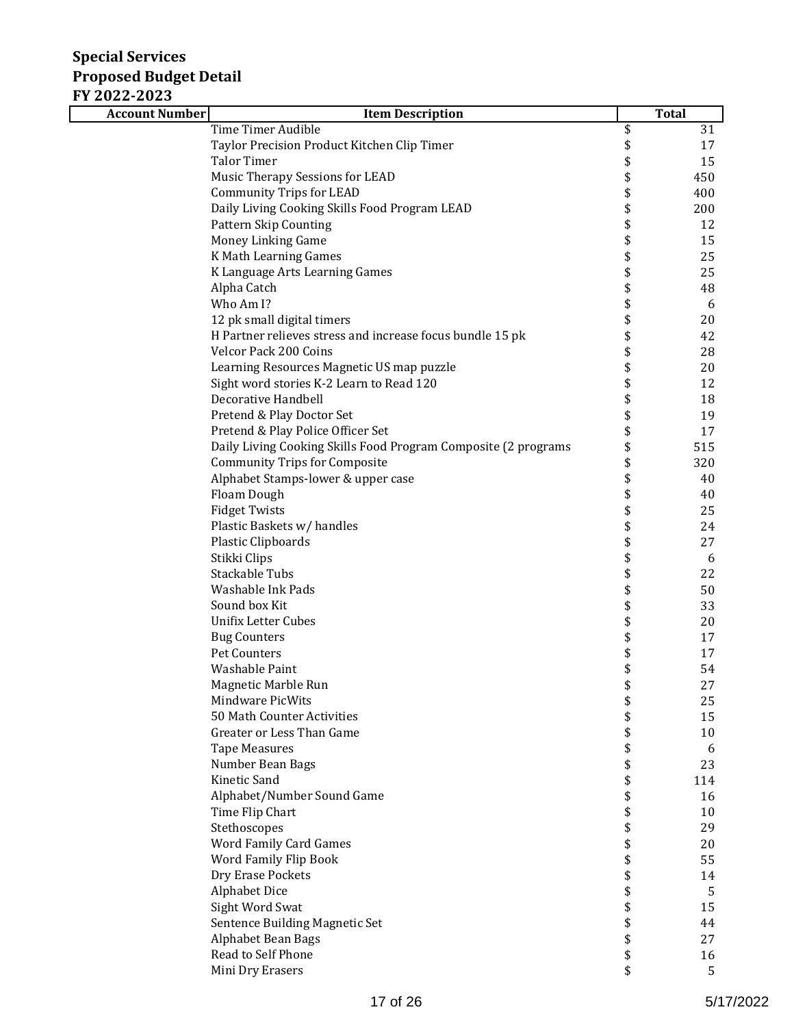| <b>Account Number</b> | <b>Item Description</b>                                        | <b>Total</b> |
|-----------------------|----------------------------------------------------------------|--------------|
|                       | <b>Time Timer Audible</b>                                      | \$<br>31     |
|                       | Taylor Precision Product Kitchen Clip Timer                    | \$<br>17     |
|                       | <b>Talor Timer</b>                                             | \$<br>15     |
|                       | Music Therapy Sessions for LEAD                                | \$<br>450    |
|                       | <b>Community Trips for LEAD</b>                                | \$<br>400    |
|                       | Daily Living Cooking Skills Food Program LEAD                  | \$<br>200    |
|                       | <b>Pattern Skip Counting</b>                                   | \$<br>12     |
|                       | Money Linking Game                                             | \$<br>15     |
|                       | K Math Learning Games                                          | \$<br>25     |
|                       | K Language Arts Learning Games                                 | \$<br>25     |
|                       | Alpha Catch                                                    | \$<br>48     |
|                       | Who Am I?                                                      | \$<br>6      |
|                       | 12 pk small digital timers                                     | \$<br>20     |
|                       | H Partner relieves stress and increase focus bundle 15 pk      | \$<br>42     |
|                       | Velcor Pack 200 Coins                                          | \$<br>28     |
|                       | Learning Resources Magnetic US map puzzle                      | \$<br>20     |
|                       | Sight word stories K-2 Learn to Read 120                       | \$<br>12     |
|                       | <b>Decorative Handbell</b>                                     | \$<br>18     |
|                       | Pretend & Play Doctor Set                                      | \$<br>19     |
|                       | Pretend & Play Police Officer Set                              | \$<br>17     |
|                       | Daily Living Cooking Skills Food Program Composite (2 programs | \$<br>515    |
|                       | <b>Community Trips for Composite</b>                           | \$<br>320    |
|                       | Alphabet Stamps-lower & upper case                             | \$<br>40     |
|                       | Floam Dough                                                    | \$<br>40     |
|                       | <b>Fidget Twists</b>                                           | \$<br>25     |
|                       | Plastic Baskets w/ handles                                     | \$<br>24     |
|                       | Plastic Clipboards                                             | \$<br>27     |
|                       | Stikki Clips                                                   | \$<br>6      |
|                       | Stackable Tubs                                                 | \$<br>22     |
|                       | Washable Ink Pads                                              | \$<br>50     |
|                       | Sound box Kit                                                  | \$<br>33     |
|                       | <b>Unifix Letter Cubes</b>                                     | \$<br>20     |
|                       | <b>Bug Counters</b>                                            | \$<br>17     |
|                       | Pet Counters                                                   | \$<br>17     |
|                       | Washable Paint                                                 | \$<br>54     |
|                       | Magnetic Marble Run                                            | \$<br>27     |
|                       | Mindware PicWits                                               | \$<br>25     |
|                       | 50 Math Counter Activities                                     | \$<br>15     |
|                       | Greater or Less Than Game                                      | \$<br>10     |
|                       | <b>Tape Measures</b>                                           | \$<br>6      |
|                       | Number Bean Bags                                               | \$<br>23     |
|                       | Kinetic Sand                                                   | \$<br>114    |
|                       | Alphabet/Number Sound Game                                     | \$<br>16     |
|                       | Time Flip Chart                                                | \$<br>10     |
|                       | Stethoscopes                                                   | \$<br>29     |
|                       | Word Family Card Games                                         | \$<br>20     |
|                       | Word Family Flip Book                                          | \$<br>55     |
|                       | Dry Erase Pockets                                              | \$<br>14     |
|                       | <b>Alphabet Dice</b>                                           | \$<br>5      |
|                       | Sight Word Swat                                                | \$<br>15     |
|                       | Sentence Building Magnetic Set                                 | \$<br>44     |
|                       | Alphabet Bean Bags                                             | \$<br>27     |
|                       | Read to Self Phone                                             | \$<br>16     |
|                       | Mini Dry Erasers                                               | \$<br>5      |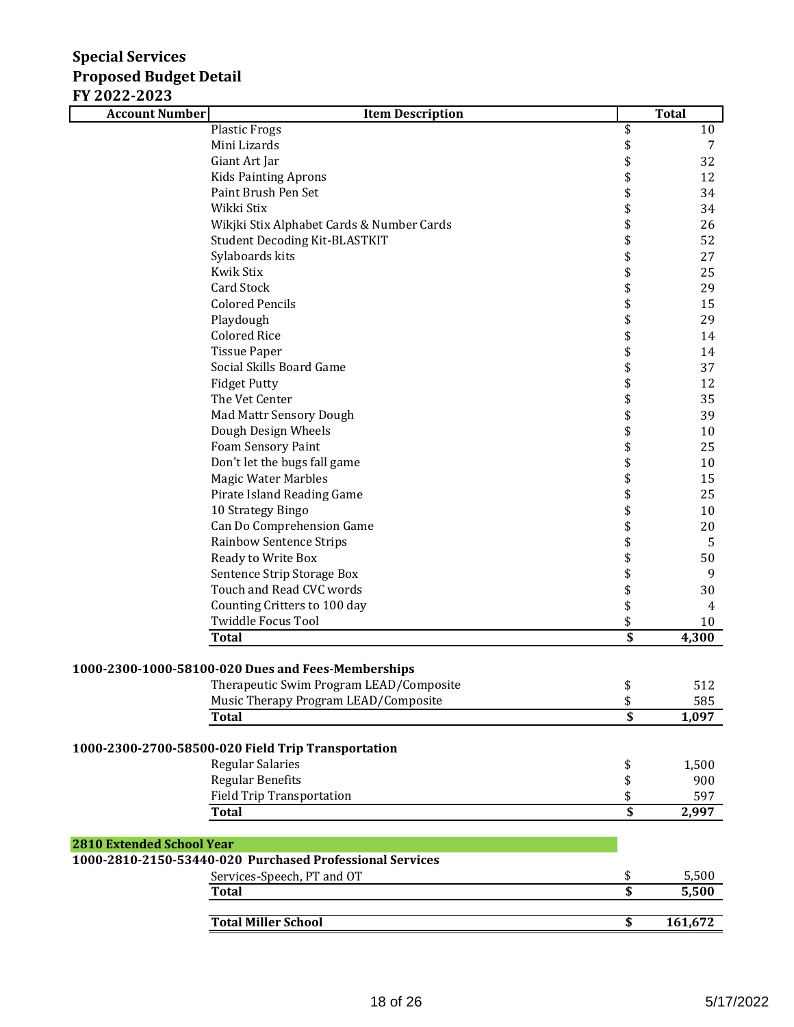| I I AVAA AVAJ<br><b>Account Number</b> | <b>Item Description</b>                                  |                         | <b>Total</b>   |
|----------------------------------------|----------------------------------------------------------|-------------------------|----------------|
|                                        | <b>Plastic Frogs</b>                                     | \$                      | 10             |
|                                        | Mini Lizards                                             | \$                      | 7              |
|                                        | Giant Art Jar                                            | \$                      | 32             |
|                                        | <b>Kids Painting Aprons</b>                              | \$                      | 12             |
|                                        | Paint Brush Pen Set                                      | \$                      | 34             |
|                                        | Wikki Stix                                               | \$                      | 34             |
|                                        | Wikjki Stix Alphabet Cards & Number Cards                | \$                      | 26             |
|                                        | <b>Student Decoding Kit-BLASTKIT</b>                     | \$                      | 52             |
|                                        | Sylaboards kits                                          | \$                      | 27             |
|                                        | <b>Kwik Stix</b>                                         | \$                      | 25             |
|                                        | <b>Card Stock</b>                                        |                         | 29             |
|                                        | <b>Colored Pencils</b>                                   | \$\$\$                  | 15             |
|                                        | Playdough                                                |                         | 29             |
|                                        | <b>Colored Rice</b>                                      | \$                      | 14             |
|                                        | <b>Tissue Paper</b>                                      |                         | 14             |
|                                        | Social Skills Board Game                                 |                         | 37             |
|                                        | <b>Fidget Putty</b>                                      |                         | 12             |
|                                        | The Vet Center                                           |                         | 35             |
|                                        | Mad Mattr Sensory Dough                                  | \$\$\$\$\$              | 39             |
|                                        | Dough Design Wheels                                      | \$                      | 10             |
|                                        | Foam Sensory Paint                                       | \$                      | 25             |
|                                        | Don't let the bugs fall game                             | \$                      | 10             |
|                                        | <b>Magic Water Marbles</b>                               | \$                      | 15             |
|                                        | Pirate Island Reading Game                               | \$                      | 25             |
|                                        | 10 Strategy Bingo                                        | \$                      | 10             |
|                                        | Can Do Comprehension Game                                | \$                      | 20             |
|                                        | <b>Rainbow Sentence Strips</b>                           | \$                      | $\sqrt{5}$     |
|                                        | Ready to Write Box                                       | \$                      | 50             |
|                                        | Sentence Strip Storage Box                               | \$                      | 9              |
|                                        | Touch and Read CVC words                                 | \$                      | 30             |
|                                        | Counting Critters to 100 day                             | \$                      | $\overline{4}$ |
|                                        | <b>Twiddle Focus Tool</b>                                | \$                      | 10             |
|                                        | <b>Total</b>                                             | $\overline{\$}$         | 4,300          |
|                                        |                                                          |                         |                |
|                                        | 1000-2300-1000-58100-020 Dues and Fees-Memberships       |                         |                |
|                                        | Therapeutic Swim Program LEAD/Composite                  | \$                      | 512            |
|                                        | Music Therapy Program LEAD/Composite                     | \$                      | 585            |
|                                        | <b>Total</b>                                             | \$                      | 1,097          |
|                                        |                                                          |                         |                |
|                                        | 1000-2300-2700-58500-020 Field Trip Transportation       |                         |                |
|                                        | Regular Salaries                                         | \$                      | 1,500          |
|                                        | <b>Regular Benefits</b>                                  | \$                      | 900            |
|                                        | <b>Field Trip Transportation</b>                         | \$                      | 597            |
|                                        | <b>Total</b>                                             | $\overline{\mathbf{s}}$ | 2,997          |
|                                        |                                                          |                         |                |
| <b>2810 Extended School Year</b>       |                                                          |                         |                |
|                                        | 1000-2810-2150-53440-020 Purchased Professional Services |                         |                |
|                                        | Services-Speech, PT and OT                               | \$                      | 5,500          |
|                                        | <b>Total</b>                                             | \$                      | 5,500          |
|                                        |                                                          |                         |                |
|                                        | <b>Total Miller School</b>                               | \$                      | 161,672        |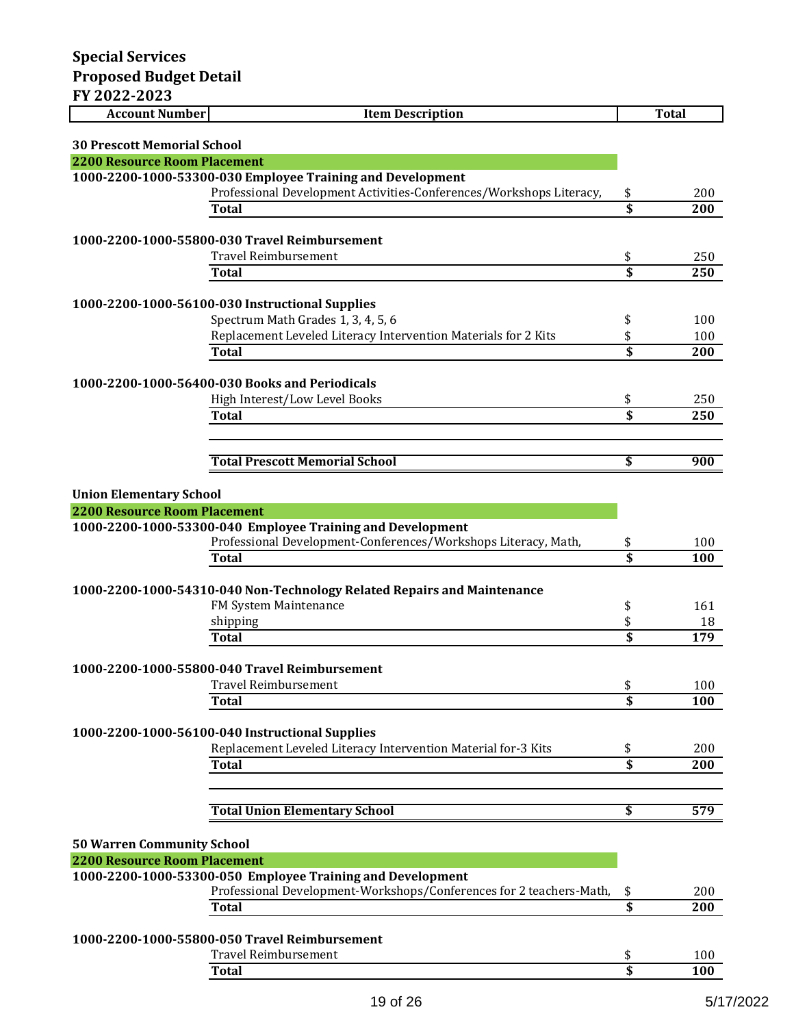| I AVAA AVAJ<br><b>Account Number</b> | <b>Item Description</b>                                                               |                 | <b>Total</b> |
|--------------------------------------|---------------------------------------------------------------------------------------|-----------------|--------------|
| <b>30 Prescott Memorial School</b>   |                                                                                       |                 |              |
| <b>2200 Resource Room Placement</b>  |                                                                                       |                 |              |
|                                      | 1000-2200-1000-53300-030 Employee Training and Development                            |                 |              |
|                                      | Professional Development Activities-Conferences/Workshops Literacy,                   | \$              | 200          |
|                                      | Total                                                                                 | \$              | 200          |
|                                      |                                                                                       |                 |              |
|                                      | 1000-2200-1000-55800-030 Travel Reimbursement                                         |                 |              |
|                                      | <b>Travel Reimbursement</b>                                                           | \$              | 250          |
|                                      | <b>Total</b>                                                                          | \$              | 250          |
|                                      |                                                                                       |                 |              |
|                                      | 1000-2200-1000-56100-030 Instructional Supplies<br>Spectrum Math Grades 1, 3, 4, 5, 6 | \$              | 100          |
|                                      | Replacement Leveled Literacy Intervention Materials for 2 Kits                        | \$              | 100          |
|                                      | <b>Total</b>                                                                          | \$              | 200          |
|                                      |                                                                                       |                 |              |
|                                      | 1000-2200-1000-56400-030 Books and Periodicals                                        |                 |              |
|                                      | High Interest/Low Level Books                                                         | \$              | 250          |
|                                      | <b>Total</b>                                                                          | \$              | 250          |
|                                      |                                                                                       |                 |              |
|                                      |                                                                                       |                 |              |
|                                      | <b>Total Prescott Memorial School</b>                                                 | \$              | 900          |
| <b>Union Elementary School</b>       |                                                                                       |                 |              |
| <b>2200 Resource Room Placement</b>  |                                                                                       |                 |              |
|                                      | 1000-2200-1000-53300-040 Employee Training and Development                            |                 |              |
|                                      | Professional Development-Conferences/Workshops Literacy, Math,                        | \$              | 100          |
|                                      | Total                                                                                 | \$              | 100          |
|                                      |                                                                                       |                 |              |
|                                      | 1000-2200-1000-54310-040 Non-Technology Related Repairs and Maintenance               |                 |              |
|                                      | FM System Maintenance                                                                 | \$              | 161          |
|                                      | shipping                                                                              | \$              | 18           |
|                                      | <b>Total</b>                                                                          | \$              | 179          |
|                                      |                                                                                       |                 |              |
|                                      | 1000-2200-1000-55800-040 Travel Reimbursement<br>Travel Reimbursement                 |                 | 100          |
|                                      | <b>Total</b>                                                                          | \$<br>\$        | 100          |
|                                      |                                                                                       |                 |              |
|                                      | 1000-2200-1000-56100-040 Instructional Supplies                                       |                 |              |
|                                      | Replacement Leveled Literacy Intervention Material for-3 Kits                         | \$              | 200          |
|                                      | <b>Total</b>                                                                          | \$              | 200          |
|                                      |                                                                                       |                 |              |
|                                      |                                                                                       |                 |              |
|                                      | <b>Total Union Elementary School</b>                                                  | \$              | 579          |
|                                      |                                                                                       |                 |              |
| <b>50 Warren Community School</b>    |                                                                                       |                 |              |
| <b>2200 Resource Room Placement</b>  | 1000-2200-1000-53300-050 Employee Training and Development                            |                 |              |
|                                      | Professional Development-Workshops/Conferences for 2 teachers-Math,                   | \$              | 200          |
|                                      | Total                                                                                 | $\overline{\$}$ | 200          |
|                                      |                                                                                       |                 |              |
|                                      | 1000-2200-1000-55800-050 Travel Reimbursement                                         |                 |              |
|                                      | <b>Travel Reimbursement</b>                                                           | \$              | 100          |
|                                      | <b>Total</b>                                                                          | \$              | 100          |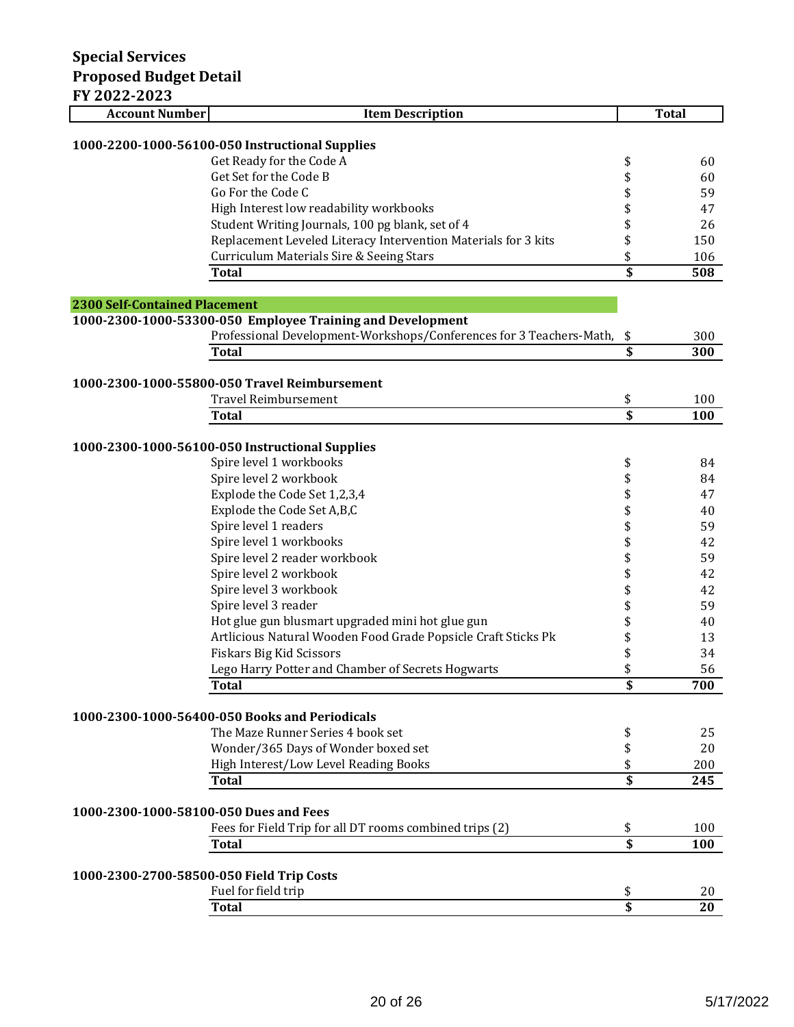| AVAA AVAJ<br><b>Account Number</b>        | <b>Item Description</b>                                                    |                                      | <b>Total</b> |
|-------------------------------------------|----------------------------------------------------------------------------|--------------------------------------|--------------|
|                                           |                                                                            |                                      |              |
|                                           | 1000-2200-1000-56100-050 Instructional Supplies                            |                                      |              |
|                                           | Get Ready for the Code A                                                   | \$                                   | 60           |
|                                           | Get Set for the Code B                                                     | \$                                   | 60           |
|                                           | Go For the Code C                                                          | \$                                   | 59           |
|                                           | High Interest low readability workbooks                                    | \$                                   | 47           |
|                                           | Student Writing Journals, 100 pg blank, set of 4                           | \$                                   | 26           |
|                                           | Replacement Leveled Literacy Intervention Materials for 3 kits             | \$                                   | 150          |
|                                           | Curriculum Materials Sire & Seeing Stars                                   | \$                                   | 106          |
|                                           | <b>Total</b>                                                               | $\overline{\boldsymbol{\mathsf{s}}}$ | 508          |
|                                           |                                                                            |                                      |              |
| <b>2300 Self-Contained Placement</b>      |                                                                            |                                      |              |
|                                           | 1000-2300-1000-53300-050 Employee Training and Development                 |                                      |              |
|                                           | Professional Development-Workshops/Conferences for 3 Teachers-Math,        | \$                                   | 300          |
|                                           | <b>Total</b>                                                               | $\overline{\mathbf{s}}$              | 300          |
|                                           |                                                                            |                                      |              |
|                                           | 1000-2300-1000-55800-050 Travel Reimbursement                              |                                      |              |
|                                           | <b>Travel Reimbursement</b>                                                | \$                                   | 100          |
|                                           | Total                                                                      | $\overline{\mathbf{s}}$              | 100          |
|                                           |                                                                            |                                      |              |
|                                           | 1000-2300-1000-56100-050 Instructional Supplies<br>Spire level 1 workbooks |                                      | 84           |
|                                           | Spire level 2 workbook                                                     | \$                                   |              |
|                                           | Explode the Code Set 1,2,3,4                                               | \$<br>\$                             | 84<br>47     |
|                                           | Explode the Code Set A,B,C                                                 | \$                                   | 40           |
|                                           | Spire level 1 readers                                                      | \$                                   | 59           |
|                                           | Spire level 1 workbooks                                                    | \$                                   | 42           |
|                                           | Spire level 2 reader workbook                                              | \$                                   | 59           |
|                                           | Spire level 2 workbook                                                     | \$                                   | 42           |
|                                           | Spire level 3 workbook                                                     | \$                                   | 42           |
|                                           | Spire level 3 reader                                                       | \$                                   | 59           |
|                                           | Hot glue gun blusmart upgraded mini hot glue gun                           | \$                                   | 40           |
|                                           | Artlicious Natural Wooden Food Grade Popsicle Craft Sticks Pk              | \$                                   | 13           |
|                                           | <b>Fiskars Big Kid Scissors</b>                                            | \$                                   | 34           |
|                                           | Lego Harry Potter and Chamber of Secrets Hogwarts                          | \$                                   | 56           |
|                                           | Total                                                                      | \$                                   | 700          |
|                                           |                                                                            |                                      |              |
|                                           | 1000-2300-1000-56400-050 Books and Periodicals                             |                                      |              |
|                                           | The Maze Runner Series 4 book set                                          | \$                                   | 25           |
|                                           | Wonder/365 Days of Wonder boxed set                                        | \$                                   | 20           |
|                                           | High Interest/Low Level Reading Books                                      | \$                                   | 200          |
|                                           | <b>Total</b>                                                               | $\overline{\mathbf{s}}$              | 245          |
|                                           |                                                                            |                                      |              |
| 1000-2300-1000-58100-050 Dues and Fees    |                                                                            |                                      |              |
|                                           | Fees for Field Trip for all DT rooms combined trips (2)                    | \$                                   | 100          |
|                                           | Total                                                                      | $\overline{\mathbf{s}}$              | 100          |
|                                           |                                                                            |                                      |              |
| 1000-2300-2700-58500-050 Field Trip Costs |                                                                            |                                      |              |
|                                           | Fuel for field trip                                                        | \$                                   | 20           |
|                                           | <b>Total</b>                                                               | $\overline{\mathbf{s}}$              | 20           |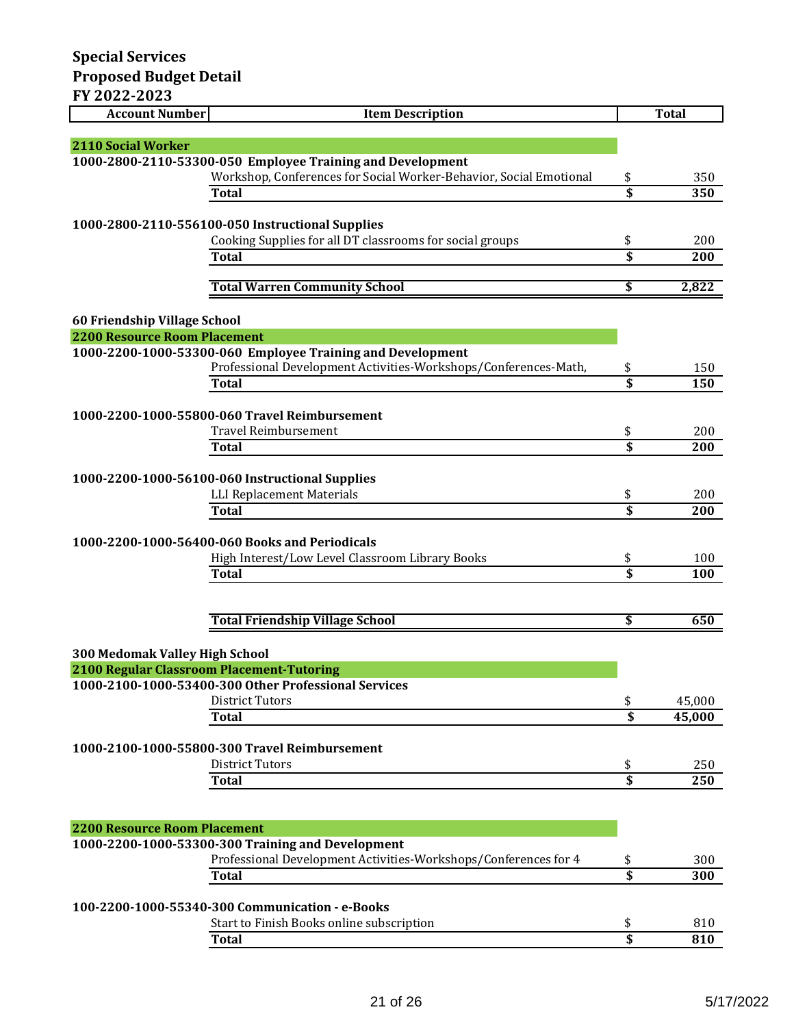| <b>Account Number</b>                     | <b>Item Description</b>                                                                                              |                                      | <b>Total</b> |
|-------------------------------------------|----------------------------------------------------------------------------------------------------------------------|--------------------------------------|--------------|
| <b>2110 Social Worker</b>                 |                                                                                                                      |                                      |              |
|                                           | 1000-2800-2110-53300-050 Employee Training and Development                                                           |                                      |              |
|                                           | Workshop, Conferences for Social Worker-Behavior, Social Emotional                                                   | \$                                   | 350          |
|                                           | <b>Total</b>                                                                                                         |                                      | 350          |
|                                           |                                                                                                                      |                                      |              |
|                                           | 1000-2800-2110-556100-050 Instructional Supplies                                                                     |                                      |              |
|                                           | Cooking Supplies for all DT classrooms for social groups                                                             | \$                                   | 200          |
|                                           | <b>Total</b>                                                                                                         | \$                                   | 200          |
|                                           | <b>Total Warren Community School</b>                                                                                 | \$                                   | 2,822        |
| 60 Friendship Village School              |                                                                                                                      |                                      |              |
| <b>2200 Resource Room Placement</b>       |                                                                                                                      |                                      |              |
|                                           | 1000-2200-1000-53300-060 Employee Training and Development                                                           |                                      |              |
|                                           | Professional Development Activities-Workshops/Conferences-Math,                                                      | \$                                   | 150          |
|                                           | <b>Total</b>                                                                                                         | \$                                   | 150          |
|                                           | 1000-2200-1000-55800-060 Travel Reimbursement                                                                        |                                      |              |
|                                           | <b>Travel Reimbursement</b>                                                                                          | \$                                   | 200          |
|                                           | <b>Total</b>                                                                                                         | $\overline{\mathbf{s}}$              | 200          |
|                                           |                                                                                                                      |                                      |              |
|                                           | 1000-2200-1000-56100-060 Instructional Supplies                                                                      |                                      |              |
|                                           | LLI Replacement Materials                                                                                            | \$                                   | 200          |
|                                           | <b>Total</b>                                                                                                         | $\overline{\mathbf{s}}$              | 200          |
|                                           | 1000-2200-1000-56400-060 Books and Periodicals                                                                       |                                      |              |
|                                           | High Interest/Low Level Classroom Library Books                                                                      | \$                                   | 100          |
|                                           | <b>Total</b>                                                                                                         | \$                                   | 100          |
|                                           |                                                                                                                      |                                      |              |
|                                           |                                                                                                                      |                                      |              |
|                                           | <b>Total Friendship Village School</b>                                                                               | \$                                   | 650          |
|                                           |                                                                                                                      |                                      |              |
| <b>300 Medomak Valley High School</b>     |                                                                                                                      |                                      |              |
| 2100 Regular Classroom Placement-Tutoring | 1000-2100-1000-53400-300 Other Professional Services                                                                 |                                      |              |
|                                           | <b>District Tutors</b>                                                                                               | \$                                   | 45,000       |
|                                           | <b>Total</b>                                                                                                         | $\overline{\boldsymbol{\mathsf{s}}}$ | 45,000       |
|                                           |                                                                                                                      |                                      |              |
|                                           | 1000-2100-1000-55800-300 Travel Reimbursement                                                                        |                                      |              |
|                                           | <b>District Tutors</b>                                                                                               | \$                                   | 250          |
|                                           | <b>Total</b>                                                                                                         | $\overline{\$}$                      | <b>250</b>   |
|                                           |                                                                                                                      |                                      |              |
|                                           |                                                                                                                      |                                      |              |
| <b>2200 Resource Room Placement</b>       |                                                                                                                      |                                      |              |
|                                           | 1000-2200-1000-53300-300 Training and Development<br>Professional Development Activities-Workshops/Conferences for 4 | \$                                   | 300          |
|                                           | <b>Total</b>                                                                                                         | \$                                   | 300          |
|                                           |                                                                                                                      |                                      |              |

| 100-2200-1000-55340-300 Communication - e-Books |     |
|-------------------------------------------------|-----|
| Start to Finish Books online subscription       | 810 |
| Total                                           | 810 |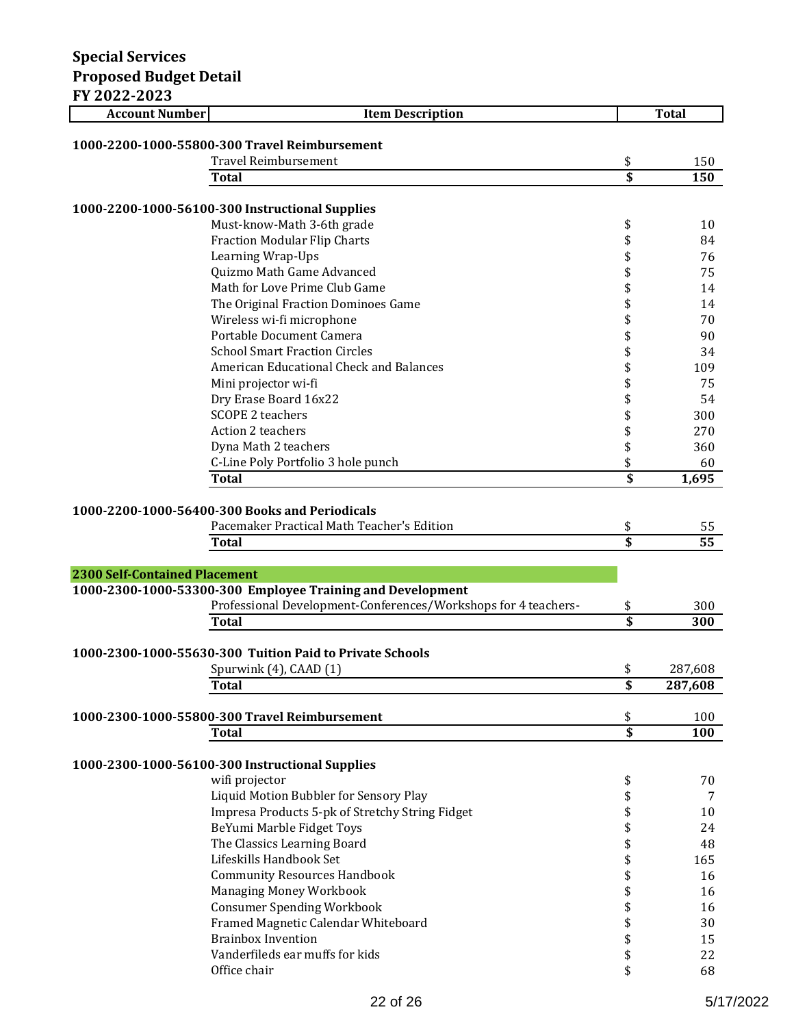| FY 2022-2023                         |                                                                |                                      |                 |
|--------------------------------------|----------------------------------------------------------------|--------------------------------------|-----------------|
| <b>Account Number</b>                | <b>Item Description</b>                                        |                                      | <b>Total</b>    |
|                                      |                                                                |                                      |                 |
|                                      | 1000-2200-1000-55800-300 Travel Reimbursement                  |                                      |                 |
|                                      | <b>Travel Reimbursement</b>                                    | \$                                   | 150             |
|                                      | Total                                                          | $\overline{\boldsymbol{\mathsf{s}}}$ | 150             |
|                                      | 1000-2200-1000-56100-300 Instructional Supplies                |                                      |                 |
|                                      | Must-know-Math 3-6th grade                                     | \$                                   | 10              |
|                                      | <b>Fraction Modular Flip Charts</b>                            | \$                                   | 84              |
|                                      | Learning Wrap-Ups                                              | \$                                   | 76              |
|                                      | Quizmo Math Game Advanced                                      | \$                                   | 75              |
|                                      | Math for Love Prime Club Game                                  | \$                                   | 14              |
|                                      | The Original Fraction Dominoes Game                            | \$                                   | 14              |
|                                      | Wireless wi-fi microphone                                      | \$                                   | 70              |
|                                      | Portable Document Camera                                       | \$                                   | 90              |
|                                      | <b>School Smart Fraction Circles</b>                           | \$                                   | 34              |
|                                      | American Educational Check and Balances                        | \$                                   | 109             |
|                                      | Mini projector wi-fi                                           | \$                                   | 75              |
|                                      | Dry Erase Board 16x22                                          | \$                                   | 54              |
|                                      | <b>SCOPE 2 teachers</b>                                        | \$                                   | 300             |
|                                      | Action 2 teachers                                              | \$                                   | 270             |
|                                      | Dyna Math 2 teachers                                           | \$                                   | 360             |
|                                      | C-Line Poly Portfolio 3 hole punch                             | \$                                   | 60              |
|                                      | <b>Total</b>                                                   | \$                                   | 1,695           |
|                                      |                                                                |                                      |                 |
|                                      | 1000-2200-1000-56400-300 Books and Periodicals                 |                                      |                 |
|                                      | Pacemaker Practical Math Teacher's Edition                     | \$                                   | 55              |
|                                      | <b>Total</b>                                                   | \$                                   | $\overline{55}$ |
| <b>2300 Self-Contained Placement</b> |                                                                |                                      |                 |
|                                      | 1000-2300-1000-53300-300 Employee Training and Development     |                                      |                 |
|                                      | Professional Development-Conferences/Workshops for 4 teachers- | \$                                   | 300             |
|                                      | <b>Total</b>                                                   | \$                                   | 300             |
|                                      |                                                                |                                      |                 |
|                                      | 1000-2300-1000-55630-300 Tuition Paid to Private Schools       |                                      |                 |
|                                      | Spurwink (4), CAAD (1)                                         | \$                                   | 287,608         |
|                                      | <b>Total</b>                                                   | $\overline{\boldsymbol{\mathsf{s}}}$ | 287,608         |
|                                      |                                                                |                                      |                 |
|                                      | 1000-2300-1000-55800-300 Travel Reimbursement                  | \$                                   | 100             |
|                                      | <b>Total</b>                                                   | $\overline{\mathsf{s}}$              | 100             |
|                                      |                                                                |                                      |                 |
|                                      | 1000-2300-1000-56100-300 Instructional Supplies                |                                      |                 |
|                                      | wifi projector<br>Liquid Motion Bubbler for Sensory Play       | \$<br>\$                             | 70<br>7         |
|                                      | Impresa Products 5-pk of Stretchy String Fidget                |                                      | 10              |
|                                      | BeYumi Marble Fidget Toys                                      | \$<br>\$                             | 24              |
|                                      | The Classics Learning Board                                    | \$                                   | 48              |
|                                      | Lifeskills Handbook Set                                        | \$                                   | 165             |
|                                      | <b>Community Resources Handbook</b>                            | \$                                   | 16              |
|                                      | Managing Money Workbook                                        | \$                                   | 16              |
|                                      | <b>Consumer Spending Workbook</b>                              | \$                                   | 16              |
|                                      | Framed Magnetic Calendar Whiteboard                            |                                      | 30              |
|                                      | <b>Brainbox Invention</b>                                      | \$<br>\$                             | 15              |
|                                      | Vanderfileds ear muffs for kids                                | \$                                   | 22              |
|                                      | Office chair                                                   | \$                                   | 68              |
|                                      |                                                                |                                      |                 |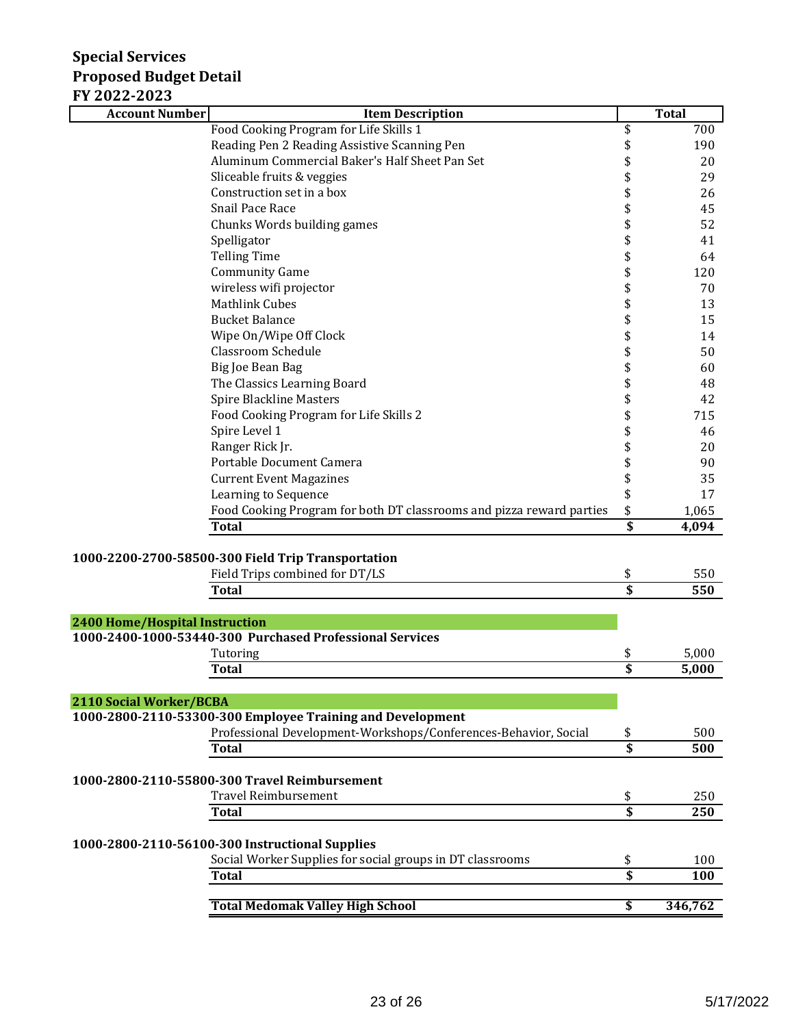| II AUAL-AUAJ<br><b>Item Description</b><br><b>Account Number</b>                                             |                                      | <b>Total</b> |
|--------------------------------------------------------------------------------------------------------------|--------------------------------------|--------------|
| Food Cooking Program for Life Skills 1                                                                       | \$                                   | 700          |
| Reading Pen 2 Reading Assistive Scanning Pen                                                                 | \$                                   | 190          |
| Aluminum Commercial Baker's Half Sheet Pan Set                                                               | \$                                   | 20           |
| Sliceable fruits & veggies                                                                                   | \$                                   | 29           |
| Construction set in a box                                                                                    | \$                                   | 26           |
| Snail Pace Race                                                                                              | \$                                   | 45           |
| Chunks Words building games                                                                                  | \$                                   | 52           |
| Spelligator                                                                                                  | \$                                   | 41           |
| <b>Telling Time</b>                                                                                          | \$                                   | 64           |
| <b>Community Game</b>                                                                                        | \$                                   | 120          |
| wireless wifi projector                                                                                      | \$                                   | 70           |
| <b>Mathlink Cubes</b>                                                                                        | \$                                   | 13           |
| <b>Bucket Balance</b>                                                                                        | \$                                   | 15           |
| Wipe On/Wipe Off Clock                                                                                       | \$                                   | 14           |
| <b>Classroom Schedule</b>                                                                                    | \$                                   | 50           |
| Big Joe Bean Bag                                                                                             | \$                                   | 60           |
| The Classics Learning Board                                                                                  | \$                                   | 48           |
| <b>Spire Blackline Masters</b>                                                                               | \$                                   | 42           |
| Food Cooking Program for Life Skills 2                                                                       | \$                                   | 715          |
| Spire Level 1                                                                                                | \$                                   | 46           |
| Ranger Rick Jr.                                                                                              | \$                                   | 20           |
| Portable Document Camera                                                                                     | \$                                   | 90           |
| <b>Current Event Magazines</b>                                                                               | \$                                   | 35           |
| Learning to Sequence                                                                                         | \$                                   | 17           |
| Food Cooking Program for both DT classrooms and pizza reward parties                                         | \$                                   | 1,065        |
| <b>Total</b>                                                                                                 | $\overline{\$}$                      | 4,094        |
| 1000-2200-2700-58500-300 Field Trip Transportation                                                           |                                      |              |
| Field Trips combined for DT/LS                                                                               | \$                                   | 550          |
| <b>Total</b>                                                                                                 | $\overline{\$}$                      | 550          |
|                                                                                                              |                                      |              |
| <b>2400 Home/Hospital Instruction</b>                                                                        |                                      |              |
| 1000-2400-1000-53440-300 Purchased Professional Services                                                     |                                      |              |
| Tutoring                                                                                                     | \$                                   | 5,000        |
| <b>Total</b>                                                                                                 | $\overline{\boldsymbol{\mathsf{s}}}$ | 5,000        |
|                                                                                                              |                                      |              |
| 2110 Social Worker/BCBA                                                                                      |                                      |              |
| 1000-2800-2110-53300-300 Employee Training and Development                                                   |                                      |              |
| Professional Development-Workshops/Conferences-Behavior, Social                                              | \$                                   | 500          |
| <b>Total</b>                                                                                                 | \$                                   | 500          |
| 1000-2800-2110-55800-300 Travel Reimbursement                                                                |                                      |              |
| <b>Travel Reimbursement</b>                                                                                  | \$                                   | 250          |
| Total                                                                                                        | $\overline{\mathbf{s}}$              | 250          |
|                                                                                                              |                                      |              |
| 1000-2800-2110-56100-300 Instructional Supplies<br>Social Worker Supplies for social groups in DT classrooms |                                      | 100          |
| <b>Total</b>                                                                                                 | \$<br>$\overline{\$}$                | 100          |
|                                                                                                              |                                      |              |
| <b>Total Medomak Valley High School</b>                                                                      | \$                                   | 346,762      |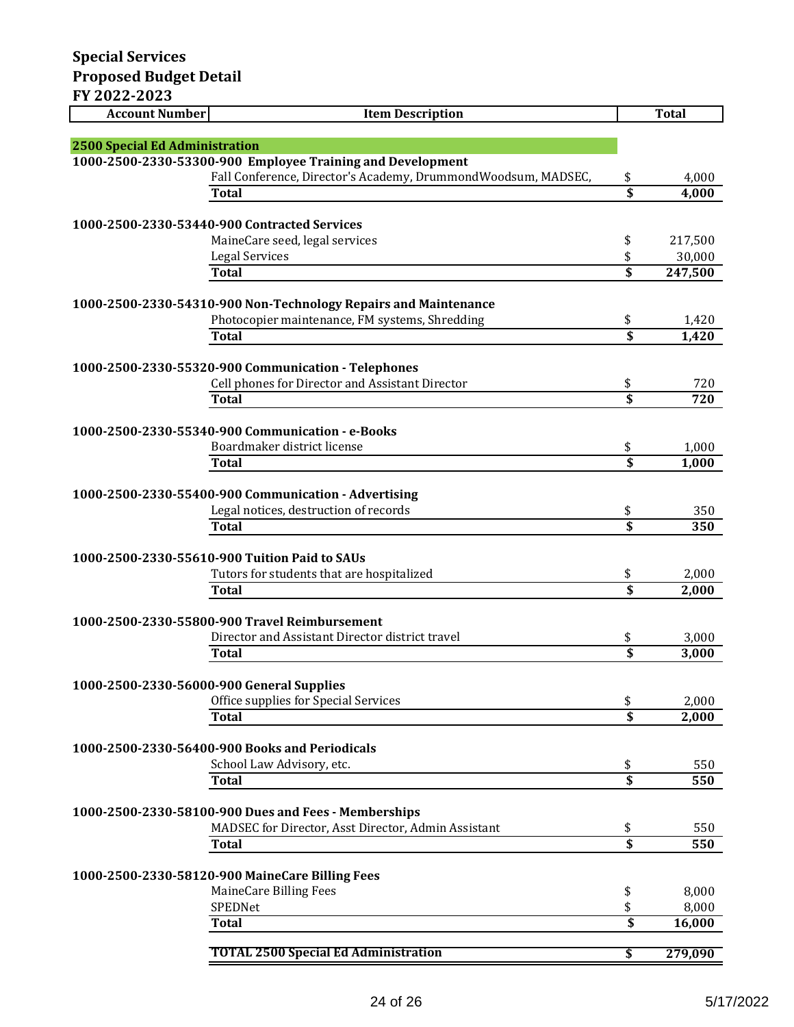| <b>Account Number</b>                           | <b>Item Description</b>                                         |                         | <b>Total</b> |
|-------------------------------------------------|-----------------------------------------------------------------|-------------------------|--------------|
|                                                 |                                                                 |                         |              |
| 2500 Special Ed Administration                  |                                                                 |                         |              |
|                                                 | 1000-2500-2330-53300-900 Employee Training and Development      |                         |              |
|                                                 | Fall Conference, Director's Academy, DrummondWoodsum, MADSEC,   | \$                      | 4,000        |
|                                                 | <b>Total</b>                                                    | $\overline{\mathbf{s}}$ | 4,000        |
|                                                 |                                                                 |                         |              |
|                                                 | 1000-2500-2330-53440-900 Contracted Services                    |                         |              |
|                                                 | MaineCare seed, legal services                                  | \$                      | 217,500      |
|                                                 | <b>Legal Services</b>                                           | \$                      | 30,000       |
|                                                 | <b>Total</b>                                                    | \$                      | 247,500      |
|                                                 |                                                                 |                         |              |
|                                                 | 1000-2500-2330-54310-900 Non-Technology Repairs and Maintenance |                         |              |
|                                                 | Photocopier maintenance, FM systems, Shredding                  | \$                      | 1,420        |
|                                                 | Total                                                           | \$                      | 1,420        |
|                                                 |                                                                 |                         |              |
|                                                 | 1000-2500-2330-55320-900 Communication - Telephones             |                         |              |
|                                                 | Cell phones for Director and Assistant Director                 | \$                      | 720          |
|                                                 | <b>Total</b>                                                    | $\overline{\mathbf{s}}$ | 720          |
|                                                 |                                                                 |                         |              |
|                                                 | 1000-2500-2330-55340-900 Communication - e-Books                |                         |              |
|                                                 | Boardmaker district license                                     | \$                      | 1,000        |
|                                                 | Total                                                           | $\overline{\mathbf{s}}$ | 1,000        |
|                                                 |                                                                 |                         |              |
|                                                 | 1000-2500-2330-55400-900 Communication - Advertising            |                         |              |
|                                                 | Legal notices, destruction of records                           | \$                      | 350          |
|                                                 | <b>Total</b>                                                    | $\overline{\mathbf{s}}$ | 350          |
|                                                 |                                                                 |                         |              |
|                                                 | 1000-2500-2330-55610-900 Tuition Paid to SAUs                   |                         |              |
|                                                 | Tutors for students that are hospitalized                       | \$                      | 2,000        |
|                                                 | Total                                                           | $\overline{\$}$         | 2,000        |
|                                                 |                                                                 |                         |              |
|                                                 | 1000-2500-2330-55800-900 Travel Reimbursement                   |                         |              |
|                                                 | Director and Assistant Director district travel                 | \$                      | 3,000        |
|                                                 | Total                                                           | \$                      | 3,000        |
|                                                 |                                                                 |                         |              |
|                                                 | 1000-2500-2330-56000-900 General Supplies                       |                         |              |
|                                                 | Office supplies for Special Services                            | \$                      | 2,000        |
|                                                 | <b>Total</b>                                                    | $\overline{\mathbf{s}}$ | 2,000        |
|                                                 |                                                                 |                         |              |
|                                                 | 1000-2500-2330-56400-900 Books and Periodicals                  |                         |              |
|                                                 | School Law Advisory, etc.                                       | \$                      | 550          |
|                                                 | <b>Total</b>                                                    | \$                      | 550          |
|                                                 |                                                                 |                         |              |
|                                                 | 1000-2500-2330-58100-900 Dues and Fees - Memberships            |                         |              |
|                                                 | MADSEC for Director, Asst Director, Admin Assistant             | \$                      | 550          |
|                                                 | <b>Total</b>                                                    | \$                      | 550          |
|                                                 |                                                                 |                         |              |
| 1000-2500-2330-58120-900 MaineCare Billing Fees |                                                                 |                         |              |
|                                                 | MaineCare Billing Fees                                          | \$                      | 8,000        |
|                                                 | SPEDNet                                                         | \$                      | 8,000        |
|                                                 | <b>Total</b>                                                    | \$                      | 16,000       |
|                                                 |                                                                 |                         |              |
|                                                 | <b>TOTAL 2500 Special Ed Administration</b>                     | \$                      | 279,090      |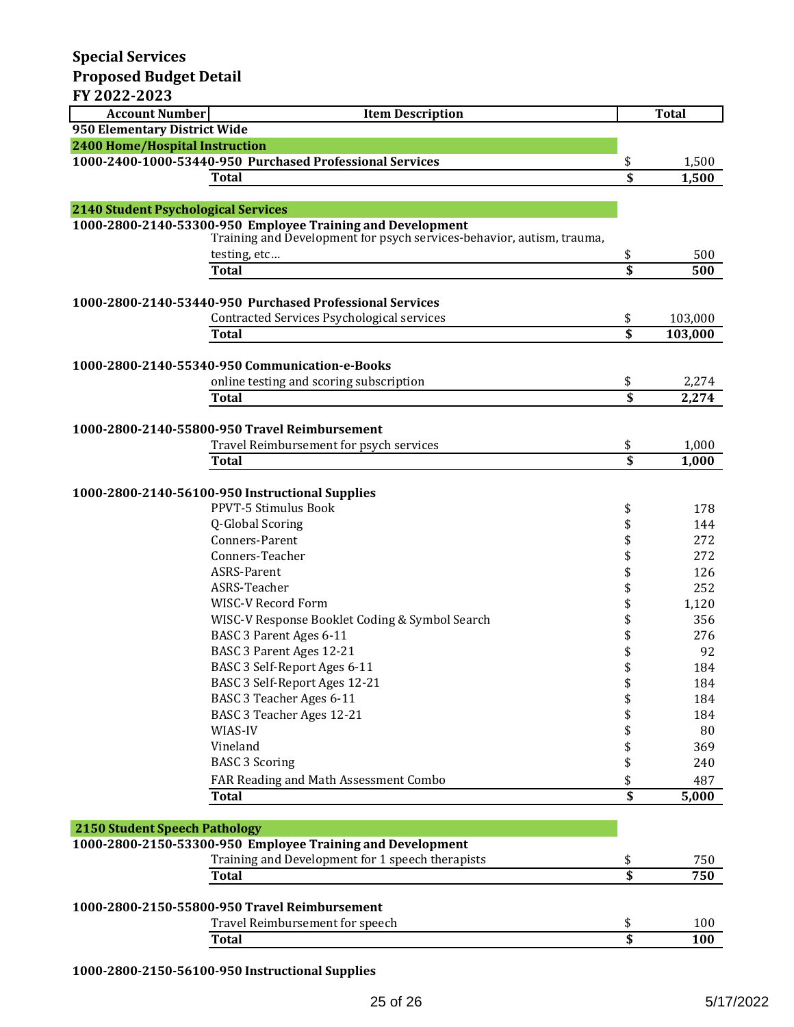| FY 2022-2023                               |                                                                                                                                     |                               |              |
|--------------------------------------------|-------------------------------------------------------------------------------------------------------------------------------------|-------------------------------|--------------|
| <b>Account Number</b>                      | <b>Item Description</b>                                                                                                             |                               | <b>Total</b> |
| 950 Elementary District Wide               |                                                                                                                                     |                               |              |
| <b>2400 Home/Hospital Instruction</b>      |                                                                                                                                     |                               |              |
|                                            | 1000-2400-1000-53440-950 Purchased Professional Services                                                                            | \$                            | 1,500        |
|                                            | <b>Total</b>                                                                                                                        | \$                            | 1,500        |
|                                            |                                                                                                                                     |                               |              |
| <b>2140 Student Psychological Services</b> |                                                                                                                                     |                               |              |
|                                            | 1000-2800-2140-53300-950 Employee Training and Development<br>Training and Development for psych services-behavior, autism, trauma, |                               |              |
|                                            | testing, etc                                                                                                                        | \$                            | 500          |
|                                            | <b>Total</b>                                                                                                                        | \$                            | 500          |
|                                            |                                                                                                                                     |                               |              |
|                                            | 1000-2800-2140-53440-950 Purchased Professional Services                                                                            |                               |              |
|                                            | Contracted Services Psychological services                                                                                          | \$<br>$\overline{\mathbf{s}}$ | 103,000      |
|                                            | <b>Total</b>                                                                                                                        |                               | 103,000      |
|                                            | 1000-2800-2140-55340-950 Communication-e-Books                                                                                      |                               |              |
|                                            | online testing and scoring subscription                                                                                             | \$                            | 2,274        |
|                                            | <b>Total</b>                                                                                                                        | \$                            | 2,274        |
|                                            |                                                                                                                                     |                               |              |
|                                            | 1000-2800-2140-55800-950 Travel Reimbursement                                                                                       |                               |              |
|                                            | Travel Reimbursement for psych services                                                                                             | \$                            | 1,000        |
|                                            | <b>Total</b>                                                                                                                        | $\overline{\mathbf{s}}$       | 1,000        |
|                                            |                                                                                                                                     |                               |              |
|                                            | 1000-2800-2140-56100-950 Instructional Supplies                                                                                     |                               |              |
|                                            | PPVT-5 Stimulus Book                                                                                                                | \$                            | 178          |
|                                            | Q-Global Scoring                                                                                                                    | \$                            | 144          |
|                                            | Conners-Parent                                                                                                                      | \$                            | 272          |
|                                            | Conners-Teacher                                                                                                                     | \$                            | 272          |
|                                            | ASRS-Parent<br>ASRS-Teacher                                                                                                         | \$                            | 126          |
|                                            | WISC-V Record Form                                                                                                                  | \$                            | 252          |
|                                            |                                                                                                                                     | \$                            | 1,120        |
|                                            | WISC-V Response Booklet Coding & Symbol Search<br>BASC 3 Parent Ages 6-11                                                           | \$                            | 356<br>276   |
|                                            | BASC 3 Parent Ages 12-21                                                                                                            | \$                            | 92           |
|                                            | BASC 3 Self-Report Ages 6-11                                                                                                        | \$<br>\$                      |              |
|                                            | BASC 3 Self-Report Ages 12-21                                                                                                       | \$                            | 184<br>184   |
|                                            | BASC 3 Teacher Ages 6-11                                                                                                            |                               | 184          |
|                                            | BASC 3 Teacher Ages 12-21                                                                                                           | \$<br>\$                      | 184          |
|                                            | WIAS-IV                                                                                                                             | \$                            | 80           |
|                                            | Vineland                                                                                                                            | \$                            | 369          |
|                                            | <b>BASC 3 Scoring</b>                                                                                                               | \$                            | 240          |
|                                            | FAR Reading and Math Assessment Combo                                                                                               | \$                            | 487          |
|                                            | <b>Total</b>                                                                                                                        | \$                            | 5,000        |
|                                            |                                                                                                                                     |                               |              |
| <b>2150 Student Speech Pathology</b>       |                                                                                                                                     |                               |              |
|                                            | 1000-2800-2150-53300-950 Employee Training and Development                                                                          |                               |              |
|                                            | Training and Development for 1 speech therapists                                                                                    | \$                            | 750          |
|                                            | <b>Total</b>                                                                                                                        | $\overline{\mathbf{s}}$       | 750          |
|                                            |                                                                                                                                     |                               |              |
|                                            | 1000-2800-2150-55800-950 Travel Reimbursement                                                                                       |                               |              |
|                                            | Travel Reimbursement for speech                                                                                                     | \$                            | 100          |

**1000-2800-2150-56100-950 Instructional Supplies**

**Total \$ 100**